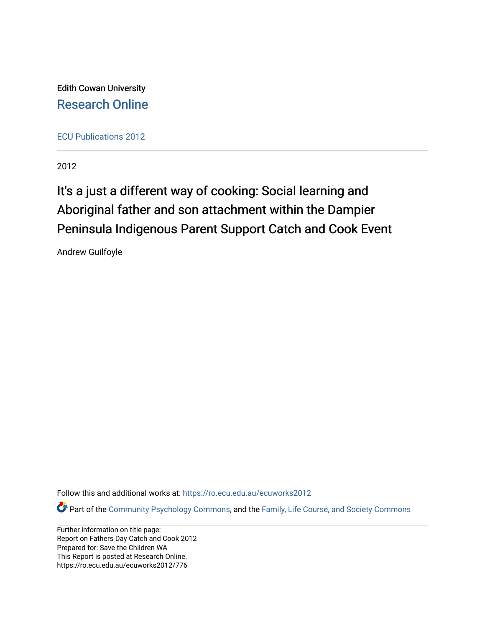Edith Cowan University [Research Online](https://ro.ecu.edu.au/) 

[ECU Publications 2012](https://ro.ecu.edu.au/ecuworks2012)

2012

# It's a just a different way of cooking: Social learning and Aboriginal father and son attachment within the Dampier Peninsula Indigenous Parent Support Catch and Cook Event

Andrew Guilfoyle

Follow this and additional works at: [https://ro.ecu.edu.au/ecuworks2012](https://ro.ecu.edu.au/ecuworks2012?utm_source=ro.ecu.edu.au%2Fecuworks2012%2F776&utm_medium=PDF&utm_campaign=PDFCoverPages) 

Part of the [Community Psychology Commons,](http://network.bepress.com/hgg/discipline/409?utm_source=ro.ecu.edu.au%2Fecuworks2012%2F776&utm_medium=PDF&utm_campaign=PDFCoverPages) and the [Family, Life Course, and Society Commons](http://network.bepress.com/hgg/discipline/419?utm_source=ro.ecu.edu.au%2Fecuworks2012%2F776&utm_medium=PDF&utm_campaign=PDFCoverPages) 

Further information on title page: Report on Fathers Day Catch and Cook 2012 Prepared for: Save the Children WA This Report is posted at Research Online. https://ro.ecu.edu.au/ecuworks2012/776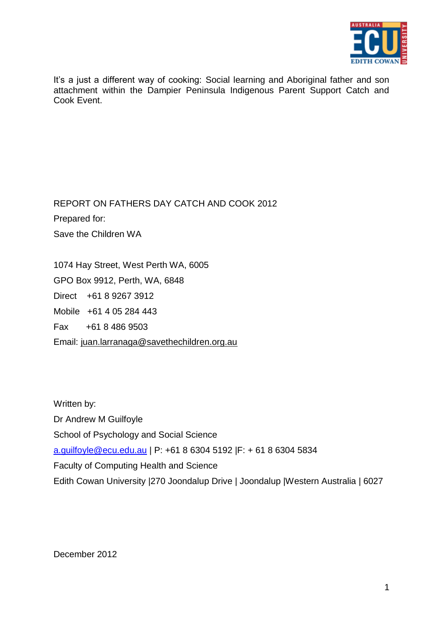

It's a just a different way of cooking: Social learning and Aboriginal father and son attachment within the Dampier Peninsula Indigenous Parent Support Catch and Cook Event.

REPORT ON FATHERS DAY CATCH AND COOK 2012 Prepared for: Save the Children WA

1074 Hay Street, West Perth WA, 6005 GPO Box 9912, Perth, WA, 6848 Direct +61 8 9267 3912 Mobile +61 4 05 284 443 Fax +61 8 486 9503 Email: [juan.larranaga@savethechildren.org.au](mailto:tatjana.klein@savethechildren.org.au)

Written by: Dr Andrew M Guilfoyle School of Psychology and Social Science [a.guilfoyle@ecu.edu.au](https://staffmail.ecu.edu.au/owa/redir.aspx?C=0a490cb620ac4b3aa76ccb138824f836&URL=mailto%3aa.guilfoyle%40ecu.edu.au) | P: +61 8 6304 5192 |F: + 61 8 6304 5834 Faculty of Computing Health and Science Edith Cowan University |270 Joondalup Drive | Joondalup |Western Australia | 6027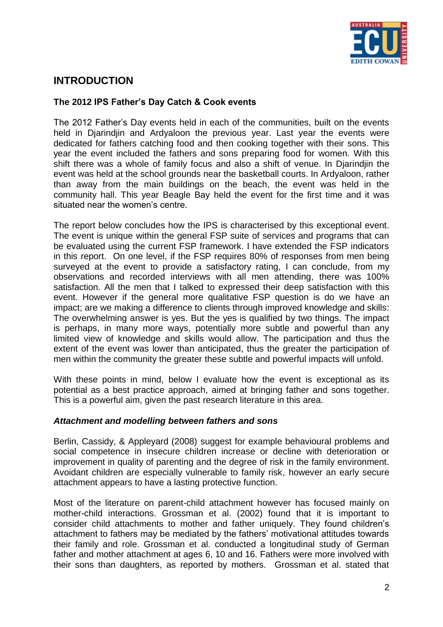

# **INTRODUCTION**

# **The 2012 IPS Father's Day Catch & Cook events**

The 2012 Father"s Day events held in each of the communities, built on the events held in Djarindjin and Ardyaloon the previous year. Last year the events were dedicated for fathers catching food and then cooking together with their sons. This year the event included the fathers and sons preparing food for women. With this shift there was a whole of family focus and also a shift of venue. In Djarindjin the event was held at the school grounds near the basketball courts. In Ardyaloon, rather than away from the main buildings on the beach, the event was held in the community hall. This year Beagle Bay held the event for the first time and it was situated near the women's centre.

The report below concludes how the IPS is characterised by this exceptional event. The event is unique within the general FSP suite of services and programs that can be evaluated using the current FSP framework. I have extended the FSP indicators in this report. On one level, if the FSP requires 80% of responses from men being surveyed at the event to provide a satisfactory rating, I can conclude, from my observations and recorded interviews with all men attending, there was 100% satisfaction. All the men that I talked to expressed their deep satisfaction with this event. However if the general more qualitative FSP question is do we have an impact; are we making a difference to clients through improved knowledge and skills: The overwhelming answer is yes. But the yes is qualified by two things. The impact is perhaps, in many more ways, potentially more subtle and powerful than any limited view of knowledge and skills would allow. The participation and thus the extent of the event was lower than anticipated, thus the greater the participation of men within the community the greater these subtle and powerful impacts will unfold.

With these points in mind, below I evaluate how the event is exceptional as its potential as a best practice approach, aimed at bringing father and sons together. This is a powerful aim, given the past research literature in this area.

# *Attachment and modelling between fathers and sons*

Berlin, Cassidy, & Appleyard (2008) suggest for example behavioural problems and social competence in insecure children increase or decline with deterioration or improvement in quality of parenting and the degree of risk in the family environment. Avoidant children are especially vulnerable to family risk, however an early secure attachment appears to have a lasting protective function.

Most of the literature on parent-child attachment however has focused mainly on mother-child interactions. Grossman et al. (2002) found that it is important to consider child attachments to mother and father uniquely. They found children"s attachment to fathers may be mediated by the fathers" motivational attitudes towards their family and role. Grossman et al. conducted a longitudinal study of German father and mother attachment at ages 6, 10 and 16. Fathers were more involved with their sons than daughters, as reported by mothers. Grossman et al. stated that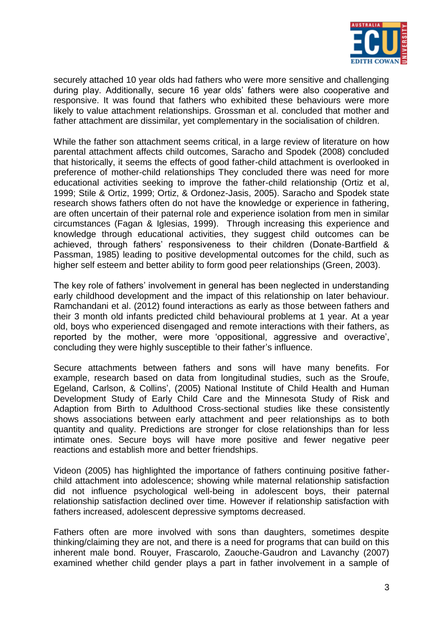

securely attached 10 year olds had fathers who were more sensitive and challenging during play. Additionally, secure 16 year olds" fathers were also cooperative and responsive. It was found that fathers who exhibited these behaviours were more likely to value attachment relationships. Grossman et al. concluded that mother and father attachment are dissimilar, yet complementary in the socialisation of children.

While the father son attachment seems critical, in a large review of literature on how parental attachment affects child outcomes, Saracho and Spodek (2008) concluded that historically, it seems the effects of good father-child attachment is overlooked in preference of mother-child relationships They concluded there was need for more educational activities seeking to improve the father-child relationship (Ortiz et al, 1999; Stile & Ortiz, 1999; Ortiz, & Ordonez-Jasis, 2005). Saracho and Spodek state research shows fathers often do not have the knowledge or experience in fathering, are often uncertain of their paternal role and experience isolation from men in similar circumstances (Fagan & Iglesias, 1999). Through increasing this experience and knowledge through educational activities, they suggest child outcomes can be achieved, through fathers" responsiveness to their children (Donate-Bartfield & Passman, 1985) leading to positive developmental outcomes for the child, such as higher self esteem and better ability to form good peer relationships (Green, 2003).

The key role of fathers" involvement in general has been neglected in understanding early childhood development and the impact of this relationship on later behaviour. Ramchandani et al. (2012) found interactions as early as those between fathers and their 3 month old infants predicted child behavioural problems at 1 year. At a year old, boys who experienced disengaged and remote interactions with their fathers, as reported by the mother, were more "oppositional, aggressive and overactive", concluding they were highly susceptible to their father"s influence.

Secure attachments between fathers and sons will have many benefits. For example, research based on data from longitudinal studies, such as the Sroufe, Egeland, Carlson, & Collins', (2005) National Institute of Child Health and Human [Development Study of Early Child Care](http://en.wikipedia.org/wiki/National_Institute_of_Child_Health_and_Human_Development) and the Minnesota Study of Risk and Adaption from Birth to Adulthood Cross-sectional studies like these consistently shows associations between early attachment and peer relationships as to both quantity and quality. Predictions are stronger for close relationships than for less intimate ones. Secure boys will have more positive and fewer negative peer reactions and establish more and better friendships.

Videon (2005) has highlighted the importance of fathers continuing positive fatherchild attachment into adolescence; showing while maternal relationship satisfaction did not influence psychological well-being in adolescent boys, their paternal relationship satisfaction declined over time. However if relationship satisfaction with fathers increased, adolescent depressive symptoms decreased.

Fathers often are more involved with sons than daughters, sometimes despite thinking/claiming they are not, and there is a need for programs that can build on this inherent male bond. Rouyer, Frascarolo, Zaouche-Gaudron and Lavanchy (2007) examined whether child gender plays a part in father involvement in a sample of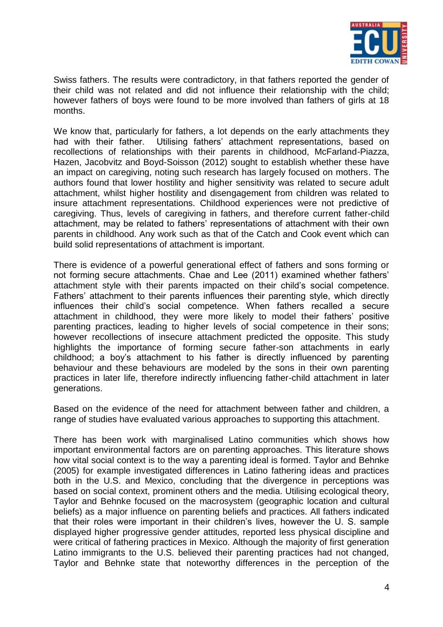

Swiss fathers. The results were contradictory, in that fathers reported the gender of their child was not related and did not influence their relationship with the child; however fathers of boys were found to be more involved than fathers of girls at 18 months.

We know that, particularly for fathers, a lot depends on the early attachments they had with their father. Utilising fathers' attachment representations, based on recollections of relationships with their parents in childhood, McFarland-Piazza, Hazen, Jacobvitz and Boyd-Soisson (2012) sought to establish whether these have an impact on caregiving, noting such research has largely focused on mothers. The authors found that lower hostility and higher sensitivity was related to secure adult attachment, whilst higher hostility and disengagement from children was related to insure attachment representations. Childhood experiences were not predictive of caregiving. Thus, levels of caregiving in fathers, and therefore current father-child attachment, may be related to fathers" representations of attachment with their own parents in childhood. Any work such as that of the Catch and Cook event which can build solid representations of attachment is important.

There is evidence of a powerful generational effect of fathers and sons forming or not forming secure attachments. Chae and Lee (2011) examined whether fathers" attachment style with their parents impacted on their child"s social competence. Fathers" attachment to their parents influences their parenting style, which directly influences their child"s social competence. When fathers recalled a secure attachment in childhood, they were more likely to model their fathers" positive parenting practices, leading to higher levels of social competence in their sons; however recollections of insecure attachment predicted the opposite. This study highlights the importance of forming secure father-son attachments in early childhood; a boy"s attachment to his father is directly influenced by parenting behaviour and these behaviours are modeled by the sons in their own parenting practices in later life, therefore indirectly influencing father-child attachment in later generations.

Based on the evidence of the need for attachment between father and children, a range of studies have evaluated various approaches to supporting this attachment.

There has been work with marginalised Latino communities which shows how important environmental factors are on parenting approaches. This literature shows how vital social context is to the way a parenting ideal is formed. Taylor and Behnke (2005) for example investigated differences in Latino fathering ideas and practices both in the U.S. and Mexico, concluding that the divergence in perceptions was based on social context, prominent others and the media. Utilising ecological theory, Taylor and Behnke focused on the macrosystem (geographic location and cultural beliefs) as a major influence on parenting beliefs and practices. All fathers indicated that their roles were important in their children"s lives, however the U. S. sample displayed higher progressive gender attitudes, reported less physical discipline and were critical of fathering practices in Mexico. Although the majority of first generation Latino immigrants to the U.S. believed their parenting practices had not changed, Taylor and Behnke state that noteworthy differences in the perception of the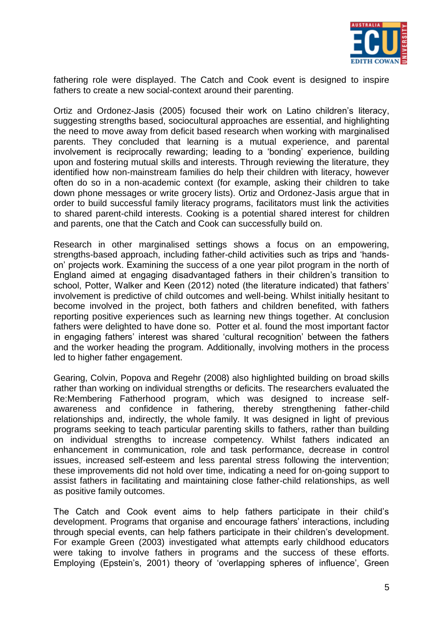

fathering role were displayed. The Catch and Cook event is designed to inspire fathers to create a new social-context around their parenting.

Ortiz and Ordonez-Jasis (2005) focused their work on Latino children"s literacy, suggesting strengths based, sociocultural approaches are essential, and highlighting the need to move away from deficit based research when working with marginalised parents. They concluded that learning is a mutual experience, and parental involvement is reciprocally rewarding; leading to a "bonding" experience, building upon and fostering mutual skills and interests. Through reviewing the literature, they identified how non-mainstream families do help their children with literacy, however often do so in a non-academic context (for example, asking their children to take down phone messages or write grocery lists). Ortiz and Ordonez-Jasis argue that in order to build successful family literacy programs, facilitators must link the activities to shared parent-child interests. Cooking is a potential shared interest for children and parents, one that the Catch and Cook can successfully build on.

Research in other marginalised settings shows a focus on an empowering, strengths-based approach, including father-child activities such as trips and "handson" projects work. Examining the success of a one year pilot program in the north of England aimed at engaging disadvantaged fathers in their children"s transition to school, Potter, Walker and Keen (2012) noted (the literature indicated) that fathers" involvement is predictive of child outcomes and well-being. Whilst initially hesitant to become involved in the project, both fathers and children benefited, with fathers reporting positive experiences such as learning new things together. At conclusion fathers were delighted to have done so. Potter et al. found the most important factor in engaging fathers' interest was shared 'cultural recognition' between the fathers and the worker heading the program. Additionally, involving mothers in the process led to higher father engagement.

Gearing, Colvin, Popova and Regehr (2008) also highlighted building on broad skills rather than working on individual strengths or deficits. The researchers evaluated the Re:Membering Fatherhood program, which was designed to increase selfawareness and confidence in fathering, thereby strengthening father-child relationships and, indirectly, the whole family. It was designed in light of previous programs seeking to teach particular parenting skills to fathers, rather than building on individual strengths to increase competency. Whilst fathers indicated an enhancement in communication, role and task performance, decrease in control issues, increased self-esteem and less parental stress following the intervention; these improvements did not hold over time, indicating a need for on-going support to assist fathers in facilitating and maintaining close father-child relationships, as well as positive family outcomes.

The Catch and Cook event aims to help fathers participate in their child"s development. Programs that organise and encourage fathers" interactions, including through special events, can help fathers participate in their children"s development. For example Green (2003) investigated what attempts early childhood educators were taking to involve fathers in programs and the success of these efforts. Employing (Epstein's, 2001) theory of 'overlapping spheres of influence', Green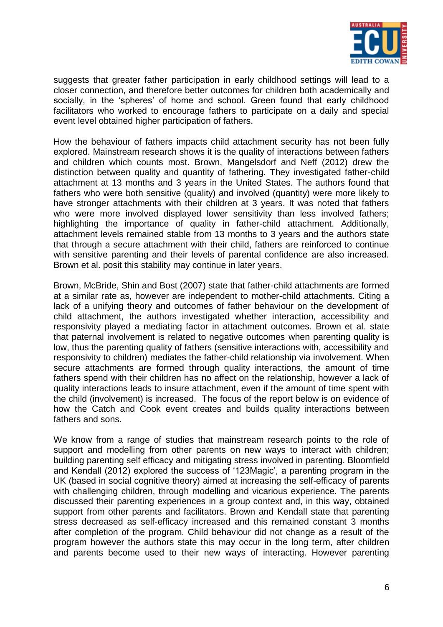

suggests that greater father participation in early childhood settings will lead to a closer connection, and therefore better outcomes for children both academically and socially, in the 'spheres' of home and school. Green found that early childhood facilitators who worked to encourage fathers to participate on a daily and special event level obtained higher participation of fathers.

How the behaviour of fathers impacts child attachment security has not been fully explored. Mainstream research shows it is the quality of interactions between fathers and children which counts most. Brown, Mangelsdorf and Neff (2012) drew the distinction between quality and quantity of fathering. They investigated father-child attachment at 13 months and 3 years in the United States. The authors found that fathers who were both sensitive (quality) and involved (quantity) were more likely to have stronger attachments with their children at 3 years. It was noted that fathers who were more involved displayed lower sensitivity than less involved fathers; highlighting the importance of quality in father-child attachment. Additionally, attachment levels remained stable from 13 months to 3 years and the authors state that through a secure attachment with their child, fathers are reinforced to continue with sensitive parenting and their levels of parental confidence are also increased. Brown et al. posit this stability may continue in later years.

Brown, McBride, Shin and Bost (2007) state that father-child attachments are formed at a similar rate as, however are independent to mother-child attachments. Citing a lack of a unifying theory and outcomes of father behaviour on the development of child attachment, the authors investigated whether interaction, accessibility and responsivity played a mediating factor in attachment outcomes. Brown et al. state that paternal involvement is related to negative outcomes when parenting quality is low, thus the parenting quality of fathers (sensitive interactions with, accessibility and responsivity to children) mediates the father-child relationship via involvement. When secure attachments are formed through quality interactions, the amount of time fathers spend with their children has no affect on the relationship, however a lack of quality interactions leads to insure attachment, even if the amount of time spent with the child (involvement) is increased. The focus of the report below is on evidence of how the Catch and Cook event creates and builds quality interactions between fathers and sons.

We know from a range of studies that mainstream research points to the role of support and modelling from other parents on new ways to interact with children; building parenting self efficacy and mitigating stress involved in parenting. Bloomfield and Kendall (2012) explored the success of '123Magic', a parenting program in the UK (based in social cognitive theory) aimed at increasing the self-efficacy of parents with challenging children, through modelling and vicarious experience. The parents discussed their parenting experiences in a group context and, in this way, obtained support from other parents and facilitators. Brown and Kendall state that parenting stress decreased as self-efficacy increased and this remained constant 3 months after completion of the program. Child behaviour did not change as a result of the program however the authors state this may occur in the long term, after children and parents become used to their new ways of interacting. However parenting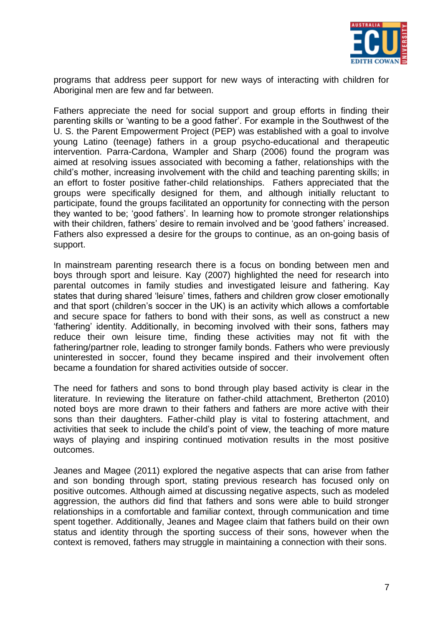

programs that address peer support for new ways of interacting with children for Aboriginal men are few and far between.

Fathers appreciate the need for social support and group efforts in finding their parenting skills or "wanting to be a good father". For example in the Southwest of the U. S. the Parent Empowerment Project (PEP) was established with a goal to involve young Latino (teenage) fathers in a group psycho-educational and therapeutic intervention. Parra-Cardona, Wampler and Sharp (2006) found the program was aimed at resolving issues associated with becoming a father, relationships with the child"s mother, increasing involvement with the child and teaching parenting skills; in an effort to foster positive father-child relationships. Fathers appreciated that the groups were specifically designed for them, and although initially reluctant to participate, found the groups facilitated an opportunity for connecting with the person they wanted to be; "good fathers". In learning how to promote stronger relationships with their children, fathers' desire to remain involved and be 'good fathers' increased. Fathers also expressed a desire for the groups to continue, as an on-going basis of support.

In mainstream parenting research there is a focus on bonding between men and boys through sport and leisure. Kay (2007) highlighted the need for research into parental outcomes in family studies and investigated leisure and fathering. Kay states that during shared "leisure" times, fathers and children grow closer emotionally and that sport (children's soccer in the UK) is an activity which allows a comfortable and secure space for fathers to bond with their sons, as well as construct a new "fathering" identity. Additionally, in becoming involved with their sons, fathers may reduce their own leisure time, finding these activities may not fit with the fathering/partner role, leading to stronger family bonds. Fathers who were previously uninterested in soccer, found they became inspired and their involvement often became a foundation for shared activities outside of soccer.

The need for fathers and sons to bond through play based activity is clear in the literature. In reviewing the literature on father-child attachment, Bretherton (2010) noted boys are more drawn to their fathers and fathers are more active with their sons than their daughters. Father-child play is vital to fostering attachment, and activities that seek to include the child"s point of view, the teaching of more mature ways of playing and inspiring continued motivation results in the most positive outcomes.

Jeanes and Magee (2011) explored the negative aspects that can arise from father and son bonding through sport, stating previous research has focused only on positive outcomes. Although aimed at discussing negative aspects, such as modeled aggression, the authors did find that fathers and sons were able to build stronger relationships in a comfortable and familiar context, through communication and time spent together. Additionally, Jeanes and Magee claim that fathers build on their own status and identity through the sporting success of their sons, however when the context is removed, fathers may struggle in maintaining a connection with their sons.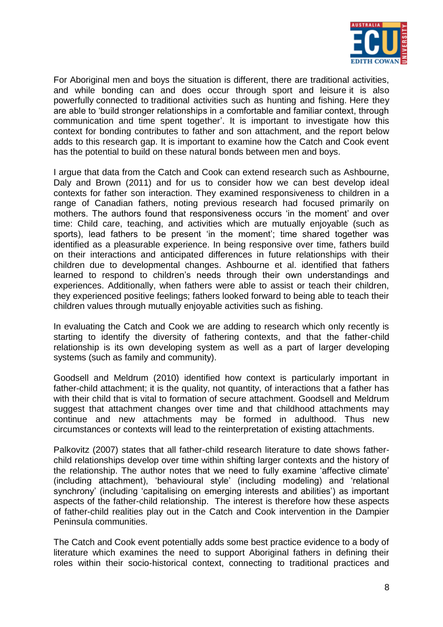

For Aboriginal men and boys the situation is different, there are traditional activities, and while bonding can and does occur through sport and leisure it is also powerfully connected to traditional activities such as hunting and fishing. Here they are able to "build stronger relationships in a comfortable and familiar context, through communication and time spent together". It is important to investigate how this context for bonding contributes to father and son attachment, and the report below adds to this research gap. It is important to examine how the Catch and Cook event has the potential to build on these natural bonds between men and boys.

I argue that data from the Catch and Cook can extend research such as Ashbourne, Daly and Brown (2011) and for us to consider how we can best develop ideal contexts for father son interaction. They examined responsiveness to children in a range of Canadian fathers, noting previous research had focused primarily on mothers. The authors found that responsiveness occurs "in the moment" and over time: Child care, teaching, and activities which are mutually enjoyable (such as sports), lead fathers to be present 'in the moment'; time shared together was identified as a pleasurable experience. In being responsive over time, fathers build on their interactions and anticipated differences in future relationships with their children due to developmental changes. Ashbourne et al. identified that fathers learned to respond to children's needs through their own understandings and experiences. Additionally, when fathers were able to assist or teach their children, they experienced positive feelings; fathers looked forward to being able to teach their children values through mutually enjoyable activities such as fishing.

In evaluating the Catch and Cook we are adding to research which only recently is starting to identify the diversity of fathering contexts, and that the father-child relationship is its own developing system as well as a part of larger developing systems (such as family and community).

Goodsell and Meldrum (2010) identified how context is particularly important in father-child attachment; it is the quality, not quantity, of interactions that a father has with their child that is vital to formation of secure attachment. Goodsell and Meldrum suggest that attachment changes over time and that childhood attachments may continue and new attachments may be formed in adulthood. Thus new circumstances or contexts will lead to the reinterpretation of existing attachments.

Palkovitz (2007) states that all father-child research literature to date shows fatherchild relationships develop over time within shifting larger contexts and the history of the relationship. The author notes that we need to fully examine "affective climate" (including attachment), "behavioural style" (including modeling) and "relational synchrony' (including 'capitalising on emerging interests and abilities') as important aspects of the father-child relationship. The interest is therefore how these aspects of father-child realities play out in the Catch and Cook intervention in the Dampier Peninsula communities.

The Catch and Cook event potentially adds some best practice evidence to a body of literature which examines the need to support Aboriginal fathers in defining their roles within their socio-historical context, connecting to traditional practices and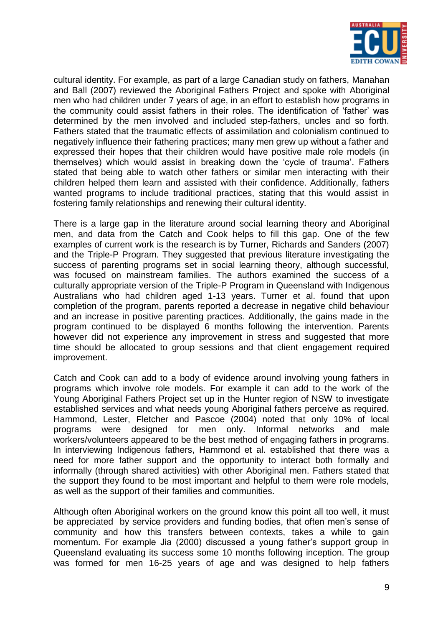

cultural identity. For example, as part of a large Canadian study on fathers, Manahan and Ball (2007) reviewed the Aboriginal Fathers Project and spoke with Aboriginal men who had children under 7 years of age, in an effort to establish how programs in the community could assist fathers in their roles. The identification of "father" was determined by the men involved and included step-fathers, uncles and so forth. Fathers stated that the traumatic effects of assimilation and colonialism continued to negatively influence their fathering practices; many men grew up without a father and expressed their hopes that their children would have positive male role models (in themselves) which would assist in breaking down the "cycle of trauma". Fathers stated that being able to watch other fathers or similar men interacting with their children helped them learn and assisted with their confidence. Additionally, fathers wanted programs to include traditional practices, stating that this would assist in fostering family relationships and renewing their cultural identity.

There is a large gap in the literature around social learning theory and Aboriginal men, and data from the Catch and Cook helps to fill this gap. One of the few examples of current work is the research is by Turner, Richards and Sanders (2007) and the Triple-P Program. They suggested that previous literature investigating the success of parenting programs set in social learning theory, although successful, was focused on mainstream families. The authors examined the success of a culturally appropriate version of the Triple-P Program in Queensland with Indigenous Australians who had children aged 1-13 years. Turner et al. found that upon completion of the program, parents reported a decrease in negative child behaviour and an increase in positive parenting practices. Additionally, the gains made in the program continued to be displayed 6 months following the intervention. Parents however did not experience any improvement in stress and suggested that more time should be allocated to group sessions and that client engagement required improvement.

Catch and Cook can add to a body of evidence around involving young fathers in programs which involve role models. For example it can add to the work of the Young Aboriginal Fathers Project set up in the Hunter region of NSW to investigate established services and what needs young Aboriginal fathers perceive as required. Hammond, Lester, Fletcher and Pascoe (2004) noted that only 10% of local programs were designed for men only. Informal networks and male workers/volunteers appeared to be the best method of engaging fathers in programs. In interviewing Indigenous fathers, Hammond et al. established that there was a need for more father support and the opportunity to interact both formally and informally (through shared activities) with other Aboriginal men. Fathers stated that the support they found to be most important and helpful to them were role models, as well as the support of their families and communities.

Although often Aboriginal workers on the ground know this point all too well, it must be appreciated by service providers and funding bodies, that often men"s sense of community and how this transfers between contexts, takes a while to gain momentum. For example Jia (2000) discussed a young father"s support group in Queensland evaluating its success some 10 months following inception. The group was formed for men 16-25 years of age and was designed to help fathers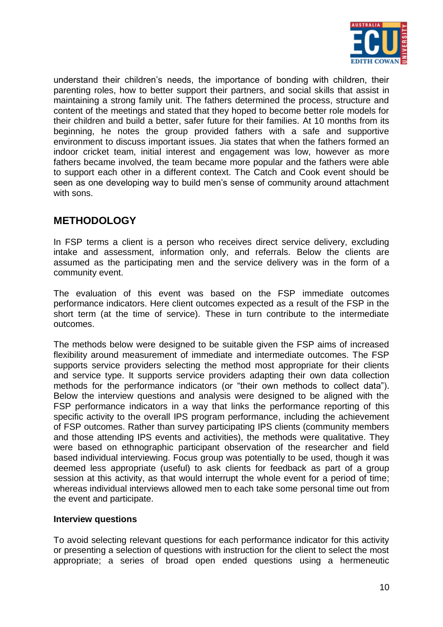

understand their children"s needs, the importance of bonding with children, their parenting roles, how to better support their partners, and social skills that assist in maintaining a strong family unit. The fathers determined the process, structure and content of the meetings and stated that they hoped to become better role models for their children and build a better, safer future for their families. At 10 months from its beginning, he notes the group provided fathers with a safe and supportive environment to discuss important issues. Jia states that when the fathers formed an indoor cricket team, initial interest and engagement was low, however as more fathers became involved, the team became more popular and the fathers were able to support each other in a different context. The Catch and Cook event should be seen as one developing way to build men's sense of community around attachment with sons.

# **METHODOLOGY**

In FSP terms a client is a person who receives direct service delivery, excluding intake and assessment, information only, and referrals. Below the clients are assumed as the participating men and the service delivery was in the form of a community event.

The evaluation of this event was based on the FSP immediate outcomes performance indicators. Here client outcomes expected as a result of the FSP in the short term (at the time of service). These in turn contribute to the intermediate outcomes.

The methods below were designed to be suitable given the FSP aims of increased flexibility around measurement of immediate and intermediate outcomes. The FSP supports service providers selecting the method most appropriate for their clients and service type. It supports service providers adapting their own data collection methods for the performance indicators (or "their own methods to collect data"). Below the interview questions and analysis were designed to be aligned with the FSP performance indicators in a way that links the performance reporting of this specific activity to the overall IPS program performance, including the achievement of FSP outcomes. Rather than survey participating IPS clients (community members and those attending IPS events and activities), the methods were qualitative. They were based on ethnographic participant observation of the researcher and field based individual interviewing. Focus group was potentially to be used, though it was deemed less appropriate (useful) to ask clients for feedback as part of a group session at this activity, as that would interrupt the whole event for a period of time; whereas individual interviews allowed men to each take some personal time out from the event and participate.

# **Interview questions**

To avoid selecting relevant questions for each performance indicator for this activity or presenting a selection of questions with instruction for the client to select the most appropriate; a series of broad open ended questions using a hermeneutic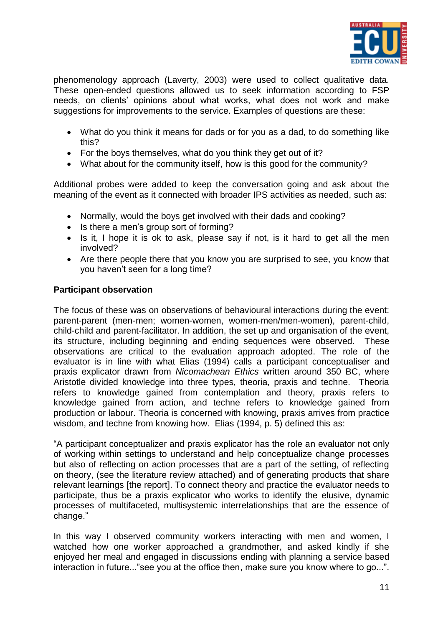

phenomenology approach (Laverty, 2003) were used to collect qualitative data. These open-ended questions allowed us to seek information according to FSP needs, on clients" opinions about what works, what does not work and make suggestions for improvements to the service. Examples of questions are these:

- What do you think it means for dads or for you as a dad, to do something like this?
- For the boys themselves, what do you think they get out of it?
- What about for the community itself, how is this good for the community?

Additional probes were added to keep the conversation going and ask about the meaning of the event as it connected with broader IPS activities as needed, such as:

- Normally, would the boys get involved with their dads and cooking?
- Is there a men's group sort of forming?
- $\bullet$  Is it, I hope it is ok to ask, please say if not, is it hard to get all the men involved?
- Are there people there that you know you are surprised to see, you know that you haven"t seen for a long time?

# **Participant observation**

The focus of these was on observations of behavioural interactions during the event: parent-parent (men-men; women-women, women-men/men-women), parent-child, child-child and parent-facilitator. In addition, the set up and organisation of the event, its structure, including beginning and ending sequences were observed. These observations are critical to the evaluation approach adopted. The role of the evaluator is in line with what Elias (1994) calls a participant conceptualiser and praxis explicator drawn from *Nicomachean Ethics* written around 350 BC, where Aristotle divided knowledge into three types, theoria, praxis and techne. Theoria refers to knowledge gained from contemplation and theory, praxis refers to knowledge gained from action, and techne refers to knowledge gained from production or labour. Theoria is concerned with knowing, praxis arrives from practice wisdom, and techne from knowing how. Elias (1994, p. 5) defined this as:

"A participant conceptualizer and praxis explicator has the role an evaluator not only of working within settings to understand and help conceptualize change processes but also of reflecting on action processes that are a part of the setting, of reflecting on theory, (see the literature review attached) and of generating products that share relevant learnings [the report]. To connect theory and practice the evaluator needs to participate, thus be a praxis explicator who works to identify the elusive, dynamic processes of multifaceted, multisystemic interrelationships that are the essence of change."

In this way I observed community workers interacting with men and women, I watched how one worker approached a grandmother, and asked kindly if she enjoyed her meal and engaged in discussions ending with planning a service based interaction in future..."see you at the office then, make sure you know where to go...".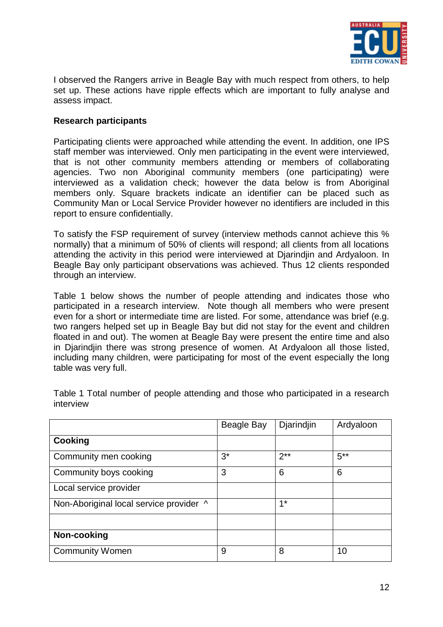

I observed the Rangers arrive in Beagle Bay with much respect from others, to help set up. These actions have ripple effects which are important to fully analyse and assess impact.

# **Research participants**

Participating clients were approached while attending the event. In addition, one IPS staff member was interviewed. Only men participating in the event were interviewed, that is not other community members attending or members of collaborating agencies. Two non Aboriginal community members (one participating) were interviewed as a validation check; however the data below is from Aboriginal members only. Square brackets indicate an identifier can be placed such as Community Man or Local Service Provider however no identifiers are included in this report to ensure confidentially.

To satisfy the FSP requirement of survey (interview methods cannot achieve this % normally) that a minimum of 50% of clients will respond; all clients from all locations attending the activity in this period were interviewed at Djarindjin and Ardyaloon. In Beagle Bay only participant observations was achieved. Thus 12 clients responded through an interview.

Table 1 below shows the number of people attending and indicates those who participated in a research interview. Note though all members who were present even for a short or intermediate time are listed. For some, attendance was brief (e.g. two rangers helped set up in Beagle Bay but did not stay for the event and children floated in and out). The women at Beagle Bay were present the entire time and also in Djarindjin there was strong presence of women. At Ardyaloon all those listed, including many children, were participating for most of the event especially the long table was very full.

|                                         | Beagle Bay | Djarindjin | Ardyaloon |
|-----------------------------------------|------------|------------|-----------|
| <b>Cooking</b>                          |            |            |           |
| Community men cooking                   | $3^*$      | $2**$      | $5***$    |
| Community boys cooking                  | 3          | 6          | 6         |
| Local service provider                  |            |            |           |
| Non-Aboriginal local service provider ^ |            | $1*$       |           |
|                                         |            |            |           |
| Non-cooking                             |            |            |           |
| <b>Community Women</b>                  | 9          | 8          | 10        |

Table 1 Total number of people attending and those who participated in a research interview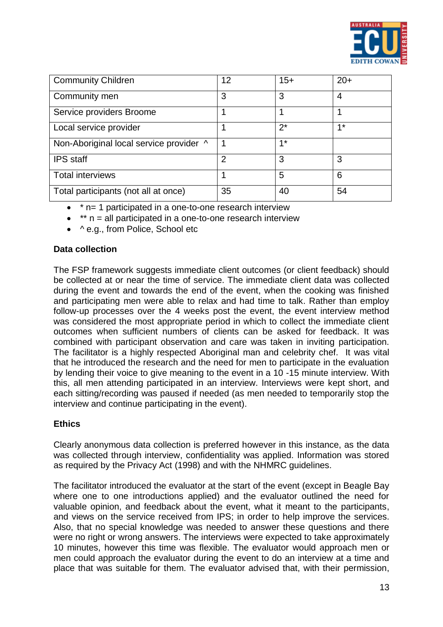

| <b>Community Children</b>               | 12             | $15+$ | $20+$ |
|-----------------------------------------|----------------|-------|-------|
| Community men                           | 3              | 3     | 4     |
| Service providers Broome                |                |       |       |
| Local service provider                  |                | $2^*$ | $4*$  |
| Non-Aboriginal local service provider ^ |                | $4*$  |       |
| <b>IPS</b> staff                        | $\overline{2}$ | 3     | 3     |
| <b>Total interviews</b>                 |                | 5     | 6     |
| Total participants (not all at once)    | 35             | 40    | 54    |

- \* n= 1 participated in a one-to-one research interview
- $\bullet$  \*\* n = all participated in a one-to-one research interview
- ^ e.g., from Police, School etc

# **Data collection**

The FSP framework suggests immediate client outcomes (or client feedback) should be collected at or near the time of service. The immediate client data was collected during the event and towards the end of the event, when the cooking was finished and participating men were able to relax and had time to talk. Rather than employ follow-up processes over the 4 weeks post the event, the event interview method was considered the most appropriate period in which to collect the immediate client outcomes when sufficient numbers of clients can be asked for feedback. It was combined with participant observation and care was taken in inviting participation. The facilitator is a highly respected Aboriginal man and celebrity chef. It was vital that he introduced the research and the need for men to participate in the evaluation by lending their voice to give meaning to the event in a 10 -15 minute interview. With this, all men attending participated in an interview. Interviews were kept short, and each sitting/recording was paused if needed (as men needed to temporarily stop the interview and continue participating in the event).

# **Ethics**

Clearly anonymous data collection is preferred however in this instance, as the data was collected through interview, confidentiality was applied. Information was stored as required by the Privacy Act (1998) and with the NHMRC guidelines.

The facilitator introduced the evaluator at the start of the event (except in Beagle Bay where one to one introductions applied) and the evaluator outlined the need for valuable opinion, and feedback about the event, what it meant to the participants, and views on the service received from IPS; in order to help improve the services. Also, that no special knowledge was needed to answer these questions and there were no right or wrong answers. The interviews were expected to take approximately 10 minutes, however this time was flexible. The evaluator would approach men or men could approach the evaluator during the event to do an interview at a time and place that was suitable for them. The evaluator advised that, with their permission,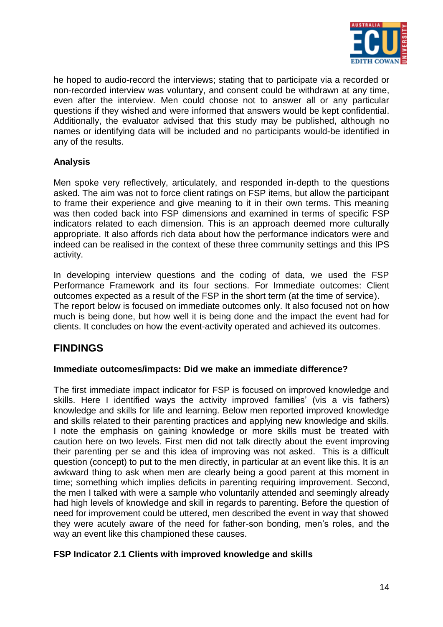

he hoped to audio-record the interviews; stating that to participate via a recorded or non-recorded interview was voluntary, and consent could be withdrawn at any time, even after the interview. Men could choose not to answer all or any particular questions if they wished and were informed that answers would be kept confidential. Additionally, the evaluator advised that this study may be published, although no names or identifying data will be included and no participants would-be identified in any of the results.

# **Analysis**

Men spoke very reflectively, articulately, and responded in-depth to the questions asked. The aim was not to force client ratings on FSP items, but allow the participant to frame their experience and give meaning to it in their own terms. This meaning was then coded back into FSP dimensions and examined in terms of specific FSP indicators related to each dimension. This is an approach deemed more culturally appropriate. It also affords rich data about how the performance indicators were and indeed can be realised in the context of these three community settings and this IPS activity.

In developing interview questions and the coding of data, we used the FSP Performance Framework and its four sections. For Immediate outcomes: Client outcomes expected as a result of the FSP in the short term (at the time of service). The report below is focused on immediate outcomes only. It also focused not on how much is being done, but how well it is being done and the impact the event had for clients. It concludes on how the event-activity operated and achieved its outcomes.

# **FINDINGS**

# **Immediate outcomes/impacts: Did we make an immediate difference?**

The first immediate impact indicator for FSP is focused on improved knowledge and skills. Here I identified ways the activity improved families' (vis a vis fathers) knowledge and skills for life and learning. Below men reported improved knowledge and skills related to their parenting practices and applying new knowledge and skills. I note the emphasis on gaining knowledge or more skills must be treated with caution here on two levels. First men did not talk directly about the event improving their parenting per se and this idea of improving was not asked. This is a difficult question (concept) to put to the men directly, in particular at an event like this. It is an awkward thing to ask when men are clearly being a good parent at this moment in time; something which implies deficits in parenting requiring improvement. Second, the men I talked with were a sample who voluntarily attended and seemingly already had high levels of knowledge and skill in regards to parenting. Before the question of need for improvement could be uttered, men described the event in way that showed they were acutely aware of the need for father-son bonding, men"s roles, and the way an event like this championed these causes.

# **FSP Indicator 2.1 Clients with improved knowledge and skills**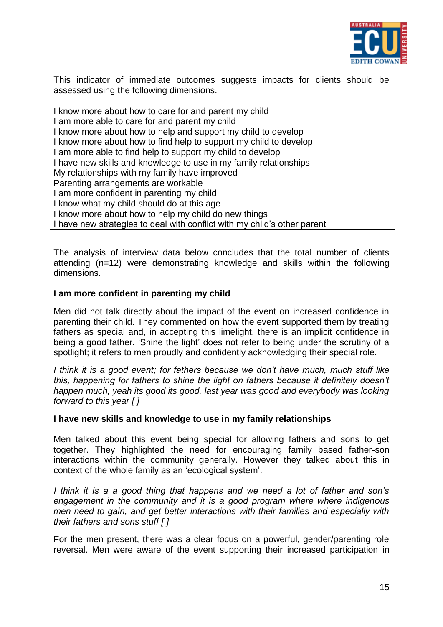

This indicator of immediate outcomes suggests impacts for clients should be assessed using the following dimensions.

I know more about how to care for and parent my child I am more able to care for and parent my child I know more about how to help and support my child to develop I know more about how to find help to support my child to develop I am more able to find help to support my child to develop I have new skills and knowledge to use in my family relationships My relationships with my family have improved Parenting arrangements are workable I am more confident in parenting my child I know what my child should do at this age I know more about how to help my child do new things I have new strategies to deal with conflict with my child"s other parent

The analysis of interview data below concludes that the total number of clients attending (n=12) were demonstrating knowledge and skills within the following dimensions.

#### **I am more confident in parenting my child**

Men did not talk directly about the impact of the event on increased confidence in parenting their child. They commented on how the event supported them by treating fathers as special and, in accepting this limelight, there is an implicit confidence in being a good father. "Shine the light" does not refer to being under the scrutiny of a spotlight; it refers to men proudly and confidently acknowledging their special role.

*I think it is a good event; for fathers because we don"t have much, much stuff like this, happening for fathers to shine the light on fathers because it definitely doesn"t happen much, yeah its good its good, last year was good and everybody was looking forward to this year [ ]*

#### **I have new skills and knowledge to use in my family relationships**

Men talked about this event being special for allowing fathers and sons to get together. They highlighted the need for encouraging family based father-son interactions within the community generally. However they talked about this in context of the whole family as an "ecological system".

*I think it is a a good thing that happens and we need a lot of father and son"s engagement in the community and it is a good program where where indigenous men need to gain, and get better interactions with their families and especially with their fathers and sons stuff [ ]*

For the men present, there was a clear focus on a powerful, gender/parenting role reversal. Men were aware of the event supporting their increased participation in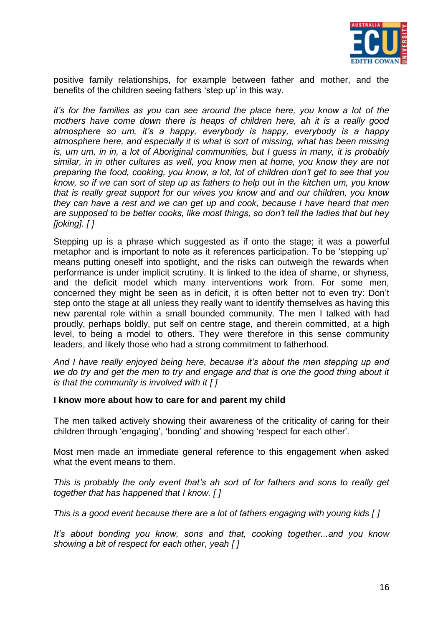

positive family relationships, for example between father and mother, and the benefits of the children seeing fathers "step up" in this way.

*it"s for the families as you can see around the place here, you know a lot of the mothers have come down there is heaps of children here, ah it is a really good atmosphere so um, it"s a happy, everybody is happy, everybody is a happy atmosphere here, and especially it is what is sort of missing, what has been missing is, um um, in in, a lot of Aboriginal communities, but I guess in many, it is probably similar, in in other cultures as well, you know men at home, you know they are not preparing the food, cooking, you know, a lot, lot of children don"t get to see that you know, so if we can sort of step up as fathers to help out in the kitchen um, you know that is really great support for our wives you know and and our children, you know they can have a rest and we can get up and cook, because I have heard that men are supposed to be better cooks, like most things, so don"t tell the ladies that but hey [joking]. [ ]*

Stepping up is a phrase which suggested as if onto the stage; it was a powerful metaphor and is important to note as it references participation. To be "stepping up" means putting oneself into spotlight, and the risks can outweigh the rewards when performance is under implicit scrutiny. It is linked to the idea of shame, or shyness, and the deficit model which many interventions work from. For some men, concerned they might be seen as in deficit, it is often better not to even try: Don"t step onto the stage at all unless they really want to identify themselves as having this new parental role within a small bounded community. The men I talked with had proudly, perhaps boldly, put self on centre stage, and therein committed, at a high level, to being a model to others. They were therefore in this sense community leaders, and likely those who had a strong commitment to fatherhood.

*And I have really enjoyed being here, because it"s about the men stepping up and we do try and get the men to try and engage and that is one the good thing about it is that the community is involved with it [ ]* 

#### **I know more about how to care for and parent my child**

The men talked actively showing their awareness of the criticality of caring for their children through 'engaging', 'bonding' and showing 'respect for each other'.

Most men made an immediate general reference to this engagement when asked what the event means to them.

*This is probably the only event that"s ah sort of for fathers and sons to really get together that has happened that I know. [ ]*

*This is a good event because there are a lot of fathers engaging with young kids [ ]*

*It"s about bonding you know, sons and that, cooking together...and you know showing a bit of respect for each other, yeah [ ]*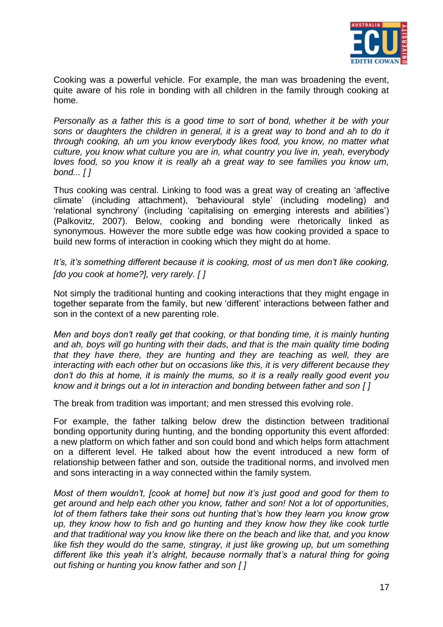

Cooking was a powerful vehicle. For example, the man was broadening the event, quite aware of his role in bonding with all children in the family through cooking at home.

*Personally as a father this is a good time to sort of bond, whether it be with your sons or daughters the children in general, it is a great way to bond and ah to do it through cooking, ah um you know everybody likes food, you know, no matter what culture, you know what culture you are in, what country you live in, yeah, everybody loves food, so you know it is really ah a great way to see families you know um, bond... [ ]*

Thus cooking was central. Linking to food was a great way of creating an "affective climate" (including attachment), "behavioural style" (including modeling) and "relational synchrony" (including "capitalising on emerging interests and abilities") (Palkovitz, 2007). Below, cooking and bonding were rhetorically linked as synonymous. However the more subtle edge was how cooking provided a space to build new forms of interaction in cooking which they might do at home.

*It's, it's something different because it is cooking, most of us men don't like cooking, [do you cook at home?], very rarely. [ ]*

Not simply the traditional hunting and cooking interactions that they might engage in together separate from the family, but new "different" interactions between father and son in the context of a new parenting role.

*Men and boys don"t really get that cooking, or that bonding time, it is mainly hunting and ah, boys will go hunting with their dads, and that is the main quality time boding that they have there, they are hunting and they are teaching as well, they are interacting with each other but on occasions like this, it is very different because they don"t do this at home, it is mainly the mums, so it is a really really good event you know and it brings out a lot in interaction and bonding between father and son [ ]*

The break from tradition was important; and men stressed this evolving role.

For example, the father talking below drew the distinction between traditional bonding opportunity during hunting, and the bonding opportunity this event afforded: a new platform on which father and son could bond and which helps form attachment on a different level. He talked about how the event introduced a new form of relationship between father and son, outside the traditional norms, and involved men and sons interacting in a way connected within the family system.

*Most of them wouldn"t, [cook at home] but now it"s just good and good for them to get around and help each other you know, father and son! Not a lot of opportunities, lot of them fathers take their sons out hunting that"s how they learn you know grow up, they know how to fish and go hunting and they know how they like cook turtle and that traditional way you know like there on the beach and like that, and you know*  like fish they would do the same, stingray, it just like growing up, but um something *different like this yeah it"s alright, because normally that"s a natural thing for going out fishing or hunting you know father and son [ ]*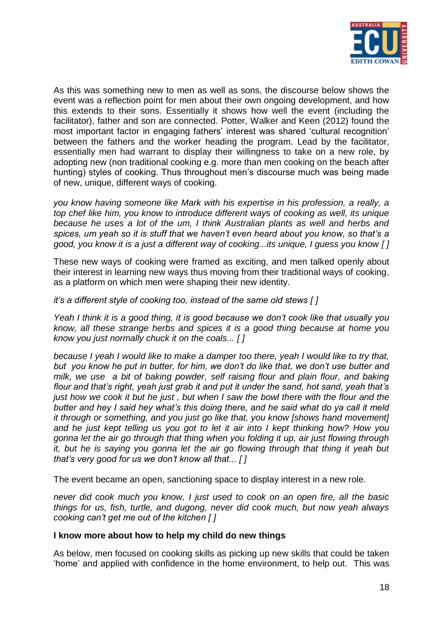

As this was something new to men as well as sons, the discourse below shows the event was a reflection point for men about their own ongoing development, and how this extends to their sons. Essentially it shows how well the event (including the facilitator), father and son are connected. Potter, Walker and Keen (2012) found the most important factor in engaging fathers' interest was shared 'cultural recognition' between the fathers and the worker heading the program. Lead by the facilitator, essentially men had warrant to display their willingness to take on a new role, by adopting new (non traditional cooking e.g. more than men cooking on the beach after hunting) styles of cooking. Thus throughout men's discourse much was being made of new, unique, different ways of cooking.

*you know having someone like Mark with his expertise in his profession, a really, a top chef like him, you know to introduce different ways of cooking as well, its unique because he uses a lot of the um, I think Australian plants as well and herbs and spices, um yeah so it is stuff that we haven"t even heard about you know, so that"s a good, you know it is a just a different way of cooking...its unique, I guess you know [ ]*

These new ways of cooking were framed as exciting, and men talked openly about their interest in learning new ways thus moving from their traditional ways of cooking, as a platform on which men were shaping their new identity.

*it"s a different style of cooking too, instead of the same old stews [ ]*

*Yeah I think it is a good thing, it is good because we don"t cook like that usually you know, all these strange herbs and spices it is a good thing because at home you know you just normally chuck it on the coals... [ ]*

*because I yeah I would like to make a damper too there, yeah I would like to try that, but you know he put in butter, for him, we don"t do like that, we don"t use butter and milk, we use a bit of baking powder, self raising flour and plain flour, and baking flour and that"s right, yeah just grab it and put it under the sand, hot sand, yeah that"s just how we cook it but he just, but when I saw the bowl there with the flour and the butter and hey I said hey what"s this doing there, and he said what do ya call it meld it through or something, and you just go like that, you know [shows hand movement] and he just kept telling us you got to let it air into I kept thinking how? How you gonna let the air go through that thing when you folding it up, air just flowing through it, but he is saying you gonna let the air go flowing through that thing it yeah but that"s very good for us we don"t know all that... [ ]*

The event became an open, sanctioning space to display interest in a new role.

*never did cook much you know, I just used to cook on an open fire, all the basic things for us, fish, turtle, and dugong, never did cook much, but now yeah always cooking can"t get me out of the kitchen [ ]*

# **I know more about how to help my child do new things**

As below, men focused on cooking skills as picking up new skills that could be taken "home" and applied with confidence in the home environment, to help out. This was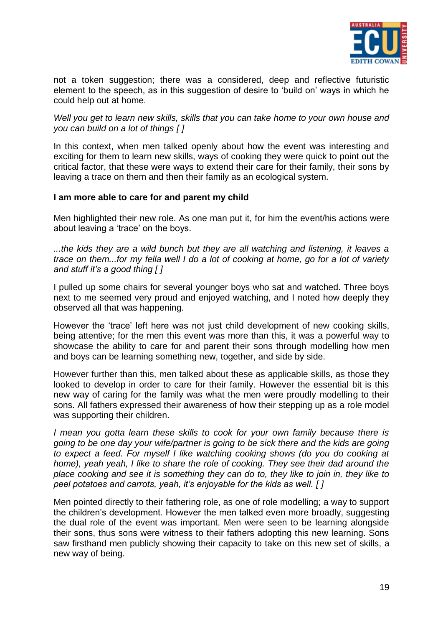

not a token suggestion; there was a considered, deep and reflective futuristic element to the speech, as in this suggestion of desire to "build on" ways in which he could help out at home.

# *Well you get to learn new skills, skills that you can take home to your own house and you can build on a lot of things [ ]*

In this context, when men talked openly about how the event was interesting and exciting for them to learn new skills, ways of cooking they were quick to point out the critical factor, that these were ways to extend their care for their family, their sons by leaving a trace on them and then their family as an ecological system.

# **I am more able to care for and parent my child**

Men highlighted their new role. As one man put it, for him the event/his actions were about leaving a 'trace' on the boys.

*...the kids they are a wild bunch but they are all watching and listening, it leaves a trace on them...for my fella well I do a lot of cooking at home, go for a lot of variety and stuff it"s a good thing [ ]*

I pulled up some chairs for several younger boys who sat and watched. Three boys next to me seemed very proud and enjoyed watching, and I noted how deeply they observed all that was happening.

However the "trace" left here was not just child development of new cooking skills, being attentive; for the men this event was more than this, it was a powerful way to showcase the ability to care for and parent their sons through modelling how men and boys can be learning something new, together, and side by side.

However further than this, men talked about these as applicable skills, as those they looked to develop in order to care for their family. However the essential bit is this new way of caring for the family was what the men were proudly modelling to their sons. All fathers expressed their awareness of how their stepping up as a role model was supporting their children.

*I mean you gotta learn these skills to cook for your own family because there is going to be one day your wife/partner is going to be sick there and the kids are going to expect a feed. For myself I like watching cooking shows (do you do cooking at home), yeah yeah, I like to share the role of cooking. They see their dad around the place cooking and see it is something they can do to, they like to join in, they like to peel potatoes and carrots, yeah, it"s enjoyable for the kids as well. [ ]*

Men pointed directly to their fathering role, as one of role modelling; a way to support the children"s development. However the men talked even more broadly, suggesting the dual role of the event was important. Men were seen to be learning alongside their sons, thus sons were witness to their fathers adopting this new learning. Sons saw firsthand men publicly showing their capacity to take on this new set of skills, a new way of being.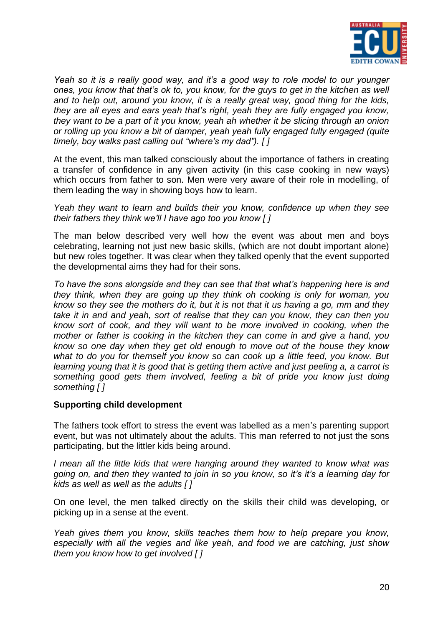

*Yeah so it is a really good way, and it"s a good way to role model to our younger ones, you know that that"s ok to, you know, for the guys to get in the kitchen as well and to help out, around you know, it is a really great way, good thing for the kids, they are all eyes and ears yeah that"s right, yeah they are fully engaged you know, they want to be a part of it you know, yeah ah whether it be slicing through an onion or rolling up you know a bit of damper, yeah yeah fully engaged fully engaged (quite timely, boy walks past calling out "where"s my dad"). [ ]*

At the event, this man talked consciously about the importance of fathers in creating a transfer of confidence in any given activity (in this case cooking in new ways) which occurs from father to son. Men were very aware of their role in modelling, of them leading the way in showing boys how to learn.

*Yeah they want to learn and builds their you know, confidence up when they see their fathers they think we"ll I have ago too you know [ ]*

The man below described very well how the event was about men and boys celebrating, learning not just new basic skills, (which are not doubt important alone) but new roles together. It was clear when they talked openly that the event supported the developmental aims they had for their sons.

*To have the sons alongside and they can see that that what"s happening here is and they think, when they are going up they think oh cooking is only for woman, you know so they see the mothers do it, but it is not that it us having a go, mm and they take it in and and yeah, sort of realise that they can you know, they can then you know sort of cook, and they will want to be more involved in cooking, when the mother or father is cooking in the kitchen they can come in and give a hand, you know so one day when they get old enough to move out of the house they know what to do you for themself you know so can cook up a little feed, you know. But learning young that it is good that is getting them active and just peeling a, a carrot is something good gets them involved, feeling a bit of pride you know just doing something [ ]*

# **Supporting child development**

The fathers took effort to stress the event was labelled as a men"s parenting support event, but was not ultimately about the adults. This man referred to not just the sons participating, but the littler kids being around.

*I mean all the little kids that were hanging around they wanted to know what was going on, and then they wanted to join in so you know, so it"s it"s a learning day for kids as well as well as the adults [ ]*

On one level, the men talked directly on the skills their child was developing, or picking up in a sense at the event.

*Yeah gives them you know, skills teaches them how to help prepare you know, especially with all the vegies and like yeah, and food we are catching, just show them you know how to get involved [ ]*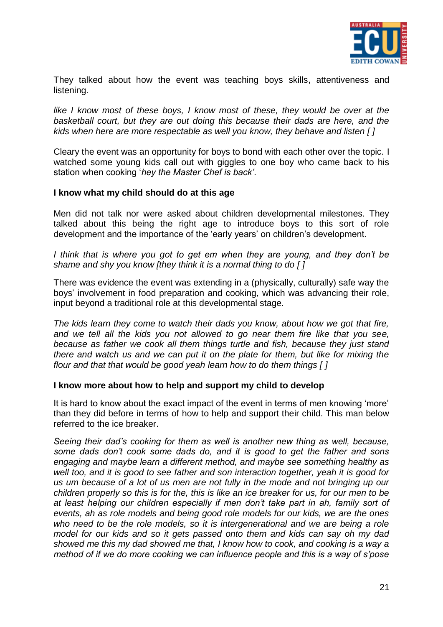

They talked about how the event was teaching boys skills, attentiveness and listening.

*like I know most of these boys, I know most of these, they would be over at the basketball court, but they are out doing this because their dads are here, and the kids when here are more respectable as well you know, they behave and listen [ ]*

Cleary the event was an opportunity for boys to bond with each other over the topic. I watched some young kids call out with giggles to one boy who came back to his station when cooking "*hey the Master Chef is back"*.

#### **I know what my child should do at this age**

Men did not talk nor were asked about children developmental milestones. They talked about this being the right age to introduce boys to this sort of role development and the importance of the "early years" on children"s development.

*I think that is where you got to get em when they are young, and they don"t be shame and shy you know [they think it is a normal thing to do [ ]*

There was evidence the event was extending in a (physically, culturally) safe way the boys" involvement in food preparation and cooking, which was advancing their role, input beyond a traditional role at this developmental stage.

*The kids learn they come to watch their dads you know, about how we got that fire, and we tell all the kids you not allowed to go near them fire like that you see, because as father we cook all them things turtle and fish, because they just stand there and watch us and we can put it on the plate for them, but like for mixing the flour and that that would be good yeah learn how to do them things [ ]*

#### **I know more about how to help and support my child to develop**

It is hard to know about the exact impact of the event in terms of men knowing 'more' than they did before in terms of how to help and support their child. This man below referred to the ice breaker.

*Seeing their dad"s cooking for them as well is another new thing as well, because, some dads don"t cook some dads do, and it is good to get the father and sons engaging and maybe learn a different method, and maybe see something healthy as well too, and it is good to see father and son interaction together, yeah it is good for us um because of a lot of us men are not fully in the mode and not bringing up our children properly so this is for the, this is like an ice breaker for us, for our men to be at least helping our children especially if men don"t take part in ah, family sort of events, ah as role models and being good role models for our kids, we are the ones*  who need to be the role models, so it is intergenerational and we are being a role *model for our kids and so it gets passed onto them and kids can say oh my dad showed me this my dad showed me that, I know how to cook, and cooking is a way a method of if we do more cooking we can influence people and this is a way of s"pose*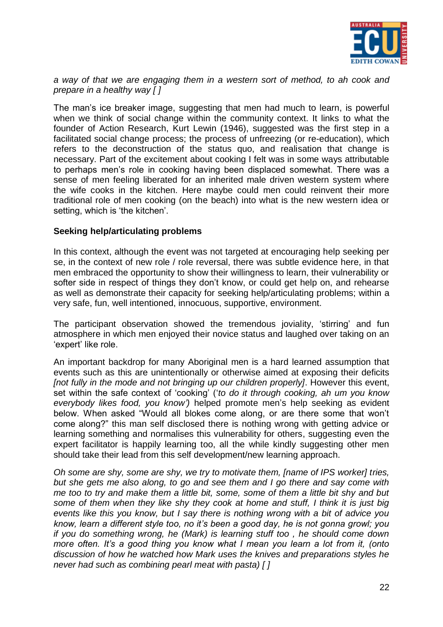

*a way of that we are engaging them in a western sort of method, to ah cook and prepare in a healthy way [ ]*

The man"s ice breaker image, suggesting that men had much to learn, is powerful when we think of social change within the community context. It links to what the founder of Action Research, Kurt Lewin (1946), suggested was the first step in a facilitated social change process; the process of unfreezing (or re-education), which refers to the deconstruction of the status quo, and realisation that change is necessary. Part of the excitement about cooking I felt was in some ways attributable to perhaps men's role in cooking having been displaced somewhat. There was a sense of men feeling liberated for an inherited male driven western system where the wife cooks in the kitchen. Here maybe could men could reinvent their more traditional role of men cooking (on the beach) into what is the new western idea or setting, which is 'the kitchen'.

# **Seeking help/articulating problems**

In this context, although the event was not targeted at encouraging help seeking per se, in the context of new role / role reversal, there was subtle evidence here, in that men embraced the opportunity to show their willingness to learn, their vulnerability or softer side in respect of things they don't know, or could get help on, and rehearse as well as demonstrate their capacity for seeking help/articulating problems; within a very safe, fun, well intentioned, innocuous, supportive, environment.

The participant observation showed the tremendous joviality, "stirring" and fun atmosphere in which men enjoyed their novice status and laughed over taking on an 'expert' like role.

An important backdrop for many Aboriginal men is a hard learned assumption that events such as this are unintentionally or otherwise aimed at exposing their deficits *[not fully in the mode and not bringing up our children properly]*. However this event, set within the safe context of "cooking" ("*to do it through cooking, ah um you know everybody likes food, you know")* helped promote men"s help seeking as evident below. When asked "Would all blokes come along, or are there some that won"t come along?" this man self disclosed there is nothing wrong with getting advice or learning something and normalises this vulnerability for others, suggesting even the expert facilitator is happily learning too, all the while kindly suggesting other men should take their lead from this self development/new learning approach.

*Oh some are shy, some are shy, we try to motivate them, [name of IPS worker] tries, but she gets me also along, to go and see them and I go there and say come with me too to try and make them a little bit, some, some of them a little bit shy and but some of them when they like shy they cook at home and stuff, I think it is just big events like this you know, but I say there is nothing wrong with a bit of advice you know, learn a different style too, no it"s been a good day, he is not gonna growl; you if you do something wrong, he (Mark) is learning stuff too , he should come down more often. It"s a good thing you know what I mean you learn a lot from it, (onto discussion of how he watched how Mark uses the knives and preparations styles he never had such as combining pearl meat with pasta) [ ]*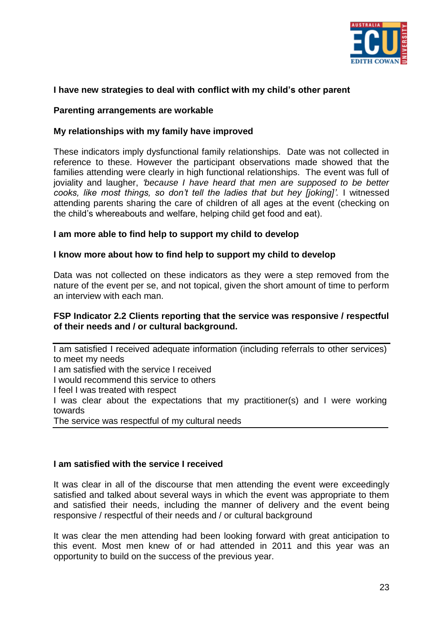

# **I have new strategies to deal with conflict with my child's other parent**

#### **Parenting arrangements are workable**

#### **My relationships with my family have improved**

These indicators imply dysfunctional family relationships. Date was not collected in reference to these. However the participant observations made showed that the families attending were clearly in high functional relationships. The event was full of joviality and laugher, *"because I have heard that men are supposed to be better cooks, like most things, so don"t tell the ladies that but hey [joking]".* I witnessed attending parents sharing the care of children of all ages at the event (checking on the child"s whereabouts and welfare, helping child get food and eat).

#### **I am more able to find help to support my child to develop**

#### **I know more about how to find help to support my child to develop**

Data was not collected on these indicators as they were a step removed from the nature of the event per se, and not topical, given the short amount of time to perform an interview with each man.

#### **FSP Indicator 2.2 Clients reporting that the service was responsive / respectful of their needs and / or cultural background.**

I am satisfied I received adequate information (including referrals to other services) to meet my needs I am satisfied with the service I received I would recommend this service to others I feel I was treated with respect I was clear about the expectations that my practitioner(s) and I were working towards The service was respectful of my cultural needs

# **I am satisfied with the service I received**

It was clear in all of the discourse that men attending the event were exceedingly satisfied and talked about several ways in which the event was appropriate to them and satisfied their needs, including the manner of delivery and the event being responsive / respectful of their needs and / or cultural background

It was clear the men attending had been looking forward with great anticipation to this event. Most men knew of or had attended in 2011 and this year was an opportunity to build on the success of the previous year.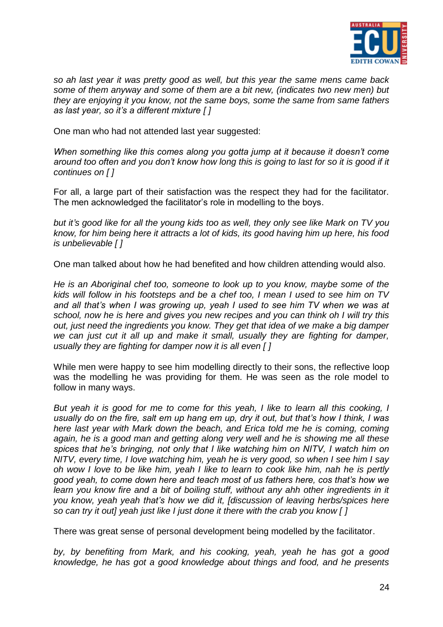

*so ah last year it was pretty good as well, but this year the same mens came back some of them anyway and some of them are a bit new, (indicates two new men) but they are enjoying it you know, not the same boys, some the same from same fathers as last year, so it"s a different mixture [ ]*

One man who had not attended last year suggested:

*When something like this comes along you gotta jump at it because it doesn"t come around too often and you don"t know how long this is going to last for so it is good if it continues on [ ]*

For all, a large part of their satisfaction was the respect they had for the facilitator. The men acknowledged the facilitator"s role in modelling to the boys.

*but it"s good like for all the young kids too as well, they only see like Mark on TV you know, for him being here it attracts a lot of kids, its good having him up here, his food is unbelievable [ ]*

One man talked about how he had benefited and how children attending would also.

*He is an Aboriginal chef too, someone to look up to you know, maybe some of the kids will follow in his footsteps and be a chef too, I mean I used to see him on TV and all that"s when I was growing up, yeah I used to see him TV when we was at school, now he is here and gives you new recipes and you can think oh I will try this out, just need the ingredients you know. They get that idea of we make a big damper we can just cut it all up and make it small, usually they are fighting for damper, usually they are fighting for damper now it is all even [ ]*

While men were happy to see him modelling directly to their sons, the reflective loop was the modelling he was providing for them. He was seen as the role model to follow in many ways.

*But yeah it is good for me to come for this yeah, I like to learn all this cooking, I usually do on the fire, salt em up hang em up, dry it out, but that"s how I think, I was here last year with Mark down the beach, and Erica told me he is coming, coming again, he is a good man and getting along very well and he is showing me all these spices that he"s bringing, not only that I like watching him on NITV, I watch him on NITV, every time, I love watching him, yeah he is very good, so when I see him I say oh wow I love to be like him, yeah I like to learn to cook like him, nah he is pertly good yeah, to come down here and teach most of us fathers here, cos that"s how we learn you know fire and a bit of boiling stuff, without any ahh other ingredients in it you know, yeah yeah that"s how we did it, [discussion of leaving herbs/spices here so can try it out] yeah just like I just done it there with the crab you know [ ]*

There was great sense of personal development being modelled by the facilitator.

*by, by benefiting from Mark, and his cooking, yeah, yeah he has got a good knowledge, he has got a good knowledge about things and food, and he presents*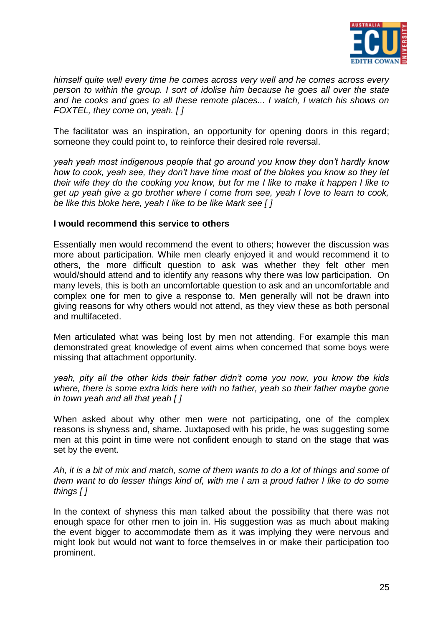

*himself quite well every time he comes across very well and he comes across every person to within the group. I sort of idolise him because he goes all over the state and he cooks and goes to all these remote places... I watch, I watch his shows on FOXTEL, they come on, yeah. [ ]*

The facilitator was an inspiration, an opportunity for opening doors in this regard; someone they could point to, to reinforce their desired role reversal.

*yeah yeah most indigenous people that go around you know they don"t hardly know how to cook, yeah see, they don"t have time most of the blokes you know so they let their wife they do the cooking you know, but for me I like to make it happen I like to get up yeah give a go brother where I come from see, yeah I love to learn to cook, be like this bloke here, yeah I like to be like Mark see [ ]*

#### **I would recommend this service to others**

Essentially men would recommend the event to others; however the discussion was more about participation. While men clearly enjoyed it and would recommend it to others, the more difficult question to ask was whether they felt other men would/should attend and to identify any reasons why there was low participation. On many levels, this is both an uncomfortable question to ask and an uncomfortable and complex one for men to give a response to. Men generally will not be drawn into giving reasons for why others would not attend, as they view these as both personal and multifaceted.

Men articulated what was being lost by men not attending. For example this man demonstrated great knowledge of event aims when concerned that some boys were missing that attachment opportunity.

*yeah, pity all the other kids their father didn"t come you now, you know the kids where, there is some extra kids here with no father, yeah so their father maybe gone in town yeah and all that yeah [ ]*

When asked about why other men were not participating, one of the complex reasons is shyness and, shame. Juxtaposed with his pride, he was suggesting some men at this point in time were not confident enough to stand on the stage that was set by the event.

*Ah, it is a bit of mix and match, some of them wants to do a lot of things and some of them want to do lesser things kind of, with me I am a proud father I like to do some things [ ]*

In the context of shyness this man talked about the possibility that there was not enough space for other men to join in. His suggestion was as much about making the event bigger to accommodate them as it was implying they were nervous and might look but would not want to force themselves in or make their participation too prominent.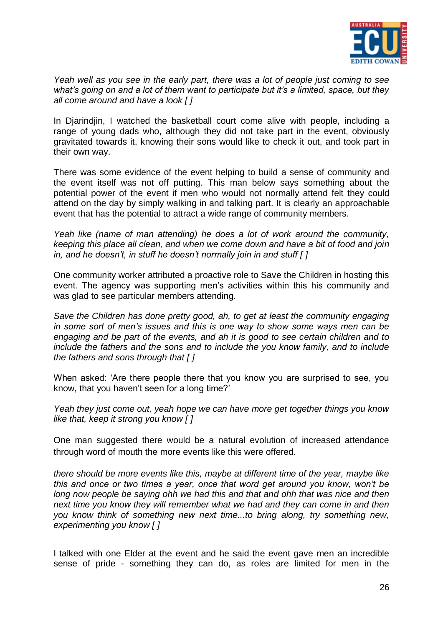

*Yeah well as you see in the early part, there was a lot of people just coming to see what"s going on and a lot of them want to participate but it"s a limited, space, but they all come around and have a look [ ]*

In Djarindjin, I watched the basketball court come alive with people, including a range of young dads who, although they did not take part in the event, obviously gravitated towards it, knowing their sons would like to check it out, and took part in their own way.

There was some evidence of the event helping to build a sense of community and the event itself was not off putting. This man below says something about the potential power of the event if men who would not normally attend felt they could attend on the day by simply walking in and talking part. It is clearly an approachable event that has the potential to attract a wide range of community members.

*Yeah like (name of man attending) he does a lot of work around the community, keeping this place all clean, and when we come down and have a bit of food and join in, and he doesn"t, in stuff he doesn"t normally join in and stuff [ ]*

One community worker attributed a proactive role to Save the Children in hosting this event. The agency was supporting men's activities within this his community and was glad to see particular members attending.

*Save the Children has done pretty good, ah, to get at least the community engaging in some sort of men"s issues and this is one way to show some ways men can be engaging and be part of the events, and ah it is good to see certain children and to include the fathers and the sons and to include the you know family, and to include the fathers and sons through that [ ]*

When asked: "Are there people there that you know you are surprised to see, you know, that you haven't seen for a long time?'

*Yeah they just come out, yeah hope we can have more get together things you know like that, keep it strong you know [ ]*

One man suggested there would be a natural evolution of increased attendance through word of mouth the more events like this were offered.

*there should be more events like this, maybe at different time of the year, maybe like this and once or two times a year, once that word get around you know, won"t be long now people be saying ohh we had this and that and ohh that was nice and then next time you know they will remember what we had and they can come in and then you know think of something new next time...to bring along, try something new, experimenting you know [ ]*

I talked with one Elder at the event and he said the event gave men an incredible sense of pride - something they can do, as roles are limited for men in the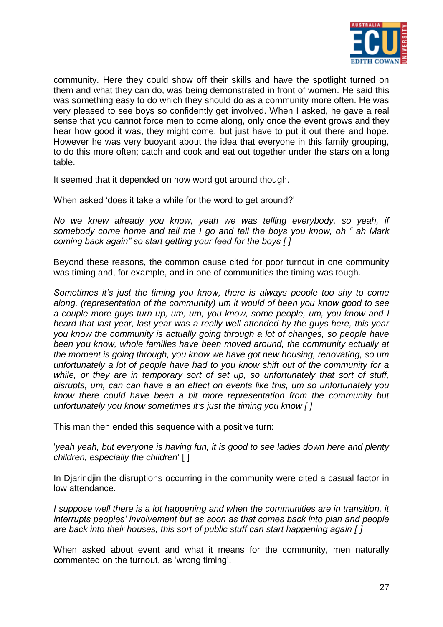

community. Here they could show off their skills and have the spotlight turned on them and what they can do, was being demonstrated in front of women. He said this was something easy to do which they should do as a community more often. He was very pleased to see boys so confidently get involved. When I asked, he gave a real sense that you cannot force men to come along, only once the event grows and they hear how good it was, they might come, but just have to put it out there and hope. However he was very buoyant about the idea that everyone in this family grouping, to do this more often; catch and cook and eat out together under the stars on a long table.

It seemed that it depended on how word got around though.

When asked 'does it take a while for the word to get around?'

*No we knew already you know, yeah we was telling everybody, so yeah, if somebody come home and tell me I go and tell the boys you know, oh " ah Mark coming back again" so start getting your feed for the boys [ ]*

Beyond these reasons, the common cause cited for poor turnout in one community was timing and, for example, and in one of communities the timing was tough.

*Sometimes it"s just the timing you know, there is always people too shy to come along, (representation of the community) um it would of been you know good to see a couple more guys turn up, um, um, you know, some people, um, you know and I heard that last year, last year was a really well attended by the guys here, this year you know the community is actually going through a lot of changes, so people have been you know, whole families have been moved around, the community actually at the moment is going through, you know we have got new housing, renovating, so um unfortunately a lot of people have had to you know shift out of the community for a while, or they are in temporary sort of set up, so unfortunately that sort of stuff, disrupts, um, can can have a an effect on events like this, um so unfortunately you know there could have been a bit more representation from the community but unfortunately you know sometimes it"s just the timing you know [ ]*

This man then ended this sequence with a positive turn:

"*yeah yeah, but everyone is having fun, it is good to see ladies down here and plenty children, especially the children*" [ ]

In Diarindiin the disruptions occurring in the community were cited a casual factor in low attendance.

*I* suppose well there is a lot happening and when the communities are in transition, it *interrupts peoples" involvement but as soon as that comes back into plan and people are back into their houses, this sort of public stuff can start happening again [ ]*

When asked about event and what it means for the community, men naturally commented on the turnout, as "wrong timing".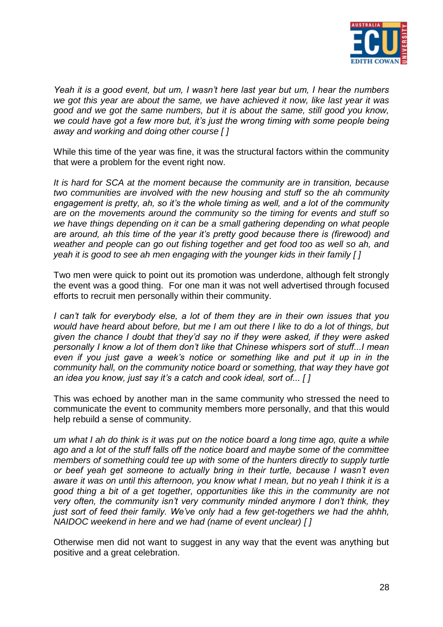

*Yeah it is a good event, but um, I wasn"t here last year but um, I hear the numbers we got this year are about the same, we have achieved it now, like last year it was good and we got the same numbers, but it is about the same, still good you know,*  we could have got a few more but, it's just the wrong timing with some people being *away and working and doing other course [ ]*

While this time of the year was fine, it was the structural factors within the community that were a problem for the event right now.

*It is hard for SCA at the moment because the community are in transition, because two communities are involved with the new housing and stuff so the ah community engagement is pretty, ah, so it"s the whole timing as well, and a lot of the community are on the movements around the community so the timing for events and stuff so we have things depending on it can be a small gathering depending on what people are around, ah this time of the year it"s pretty good because there is (firewood) and weather and people can go out fishing together and get food too as well so ah, and yeah it is good to see ah men engaging with the younger kids in their family [ ]*

Two men were quick to point out its promotion was underdone, although felt strongly the event was a good thing. For one man it was not well advertised through focused efforts to recruit men personally within their community.

*I can"t talk for everybody else, a lot of them they are in their own issues that you would have heard about before, but me I am out there I like to do a lot of things, but given the chance I doubt that they"d say no if they were asked, if they were asked personally I know a lot of them don"t like that Chinese whispers sort of stuff...I mean even if you just gave a week"s notice or something like and put it up in in the community hall, on the community notice board or something, that way they have got an idea you know, just say it"s a catch and cook ideal, sort of... [ ]*

This was echoed by another man in the same community who stressed the need to communicate the event to community members more personally, and that this would help rebuild a sense of community.

*um what I ah do think is it was put on the notice board a long time ago, quite a while ago and a lot of the stuff falls off the notice board and maybe some of the committee members of something could tee up with some of the hunters directly to supply turtle or beef yeah get someone to actually bring in their turtle, because I wasn"t even aware it was on until this afternoon, you know what I mean, but no yeah I think it is a good thing a bit of a get together, opportunities like this in the community are not very often, the community isn"t very community minded anymore I don"t think, they just sort of feed their family. We"ve only had a few get-togethers we had the ahhh, NAIDOC weekend in here and we had (name of event unclear) [ ]*

Otherwise men did not want to suggest in any way that the event was anything but positive and a great celebration.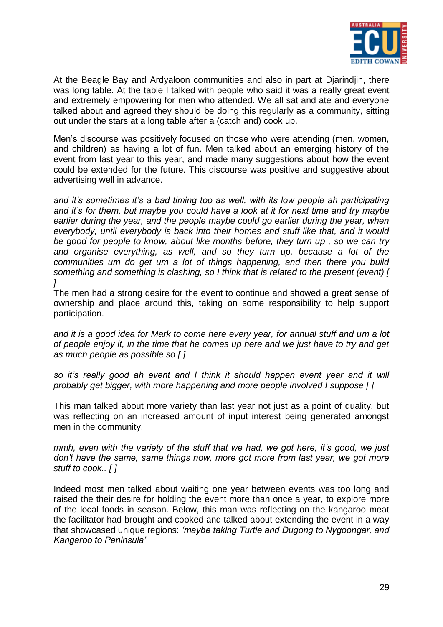

At the Beagle Bay and Ardyaloon communities and also in part at Djarindjin, there was long table. At the table I talked with people who said it was a really great event and extremely empowering for men who attended. We all sat and ate and everyone talked about and agreed they should be doing this regularly as a community, sitting out under the stars at a long table after a (catch and) cook up.

Men's discourse was positively focused on those who were attending (men, women, and children) as having a lot of fun. Men talked about an emerging history of the event from last year to this year, and made many suggestions about how the event could be extended for the future. This discourse was positive and suggestive about advertising well in advance.

*and it"s sometimes it"s a bad timing too as well, with its low people ah participating and it"s for them, but maybe you could have a look at it for next time and try maybe*  earlier during the year, and the people maybe could go earlier during the year, when *everybody, until everybody is back into their homes and stuff like that, and it would be good for people to know, about like months before, they turn up , so we can try and organise everything, as well, and so they turn up, because a lot of the communities um do get um a lot of things happening, and then there you build something and something is clashing, so I think that is related to the present (event) [ ]*

The men had a strong desire for the event to continue and showed a great sense of ownership and place around this, taking on some responsibility to help support participation.

*and it is a good idea for Mark to come here every year, for annual stuff and um a lot of people enjoy it, in the time that he comes up here and we just have to try and get as much people as possible so [ ]*

*so it"s really good ah event and I think it should happen event year and it will probably get bigger, with more happening and more people involved I suppose [ ]*

This man talked about more variety than last year not just as a point of quality, but was reflecting on an increased amount of input interest being generated amongst men in the community.

*mmh, even with the variety of the stuff that we had, we got here, it's good, we just don"t have the same, same things now, more got more from last year, we got more stuff to cook.. [ ]*

Indeed most men talked about waiting one year between events was too long and raised the their desire for holding the event more than once a year, to explore more of the local foods in season. Below, this man was reflecting on the kangaroo meat the facilitator had brought and cooked and talked about extending the event in a way that showcased unique regions: *"maybe taking Turtle and Dugong to Nygoongar, and Kangaroo to Peninsula"*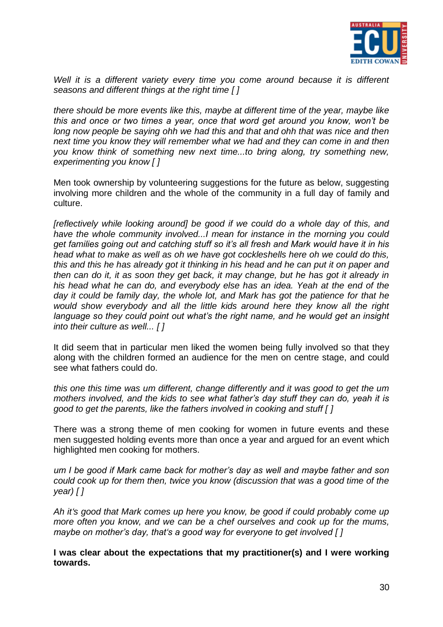

Well it is a different variety every time you come around because it is different *seasons and different things at the right time [ ]*

*there should be more events like this, maybe at different time of the year, maybe like this and once or two times a year, once that word get around you know, won"t be long now people be saying ohh we had this and that and ohh that was nice and then next time you know they will remember what we had and they can come in and then you know think of something new next time...to bring along, try something new, experimenting you know [ ]*

Men took ownership by volunteering suggestions for the future as below, suggesting involving more children and the whole of the community in a full day of family and culture.

*[reflectively while looking around] be good if we could do a whole day of this, and have the whole community involved...I mean for instance in the morning you could get families going out and catching stuff so it"s all fresh and Mark would have it in his head what to make as well as oh we have got cockleshells here oh we could do this, this and this he has already got it thinking in his head and he can put it on paper and then can do it, it as soon they get back, it may change, but he has got it already in his head what he can do, and everybody else has an idea. Yeah at the end of the day it could be family day, the whole lot, and Mark has got the patience for that he would show everybody and all the little kids around here they know all the right language so they could point out what"s the right name, and he would get an insight into their culture as well... [ ]*

It did seem that in particular men liked the women being fully involved so that they along with the children formed an audience for the men on centre stage, and could see what fathers could do.

*this one this time was um different, change differently and it was good to get the um mothers involved, and the kids to see what father"s day stuff they can do, yeah it is good to get the parents, like the fathers involved in cooking and stuff [ ]*

There was a strong theme of men cooking for women in future events and these men suggested holding events more than once a year and argued for an event which highlighted men cooking for mothers.

*um I be good if Mark came back for mother"s day as well and maybe father and son could cook up for them then, twice you know (discussion that was a good time of the year) [ ]*

*Ah it"s good that Mark comes up here you know, be good if could probably come up more often you know, and we can be a chef ourselves and cook up for the mums, maybe on mother"s day, that"s a good way for everyone to get involved [ ]*

**I was clear about the expectations that my practitioner(s) and I were working towards.**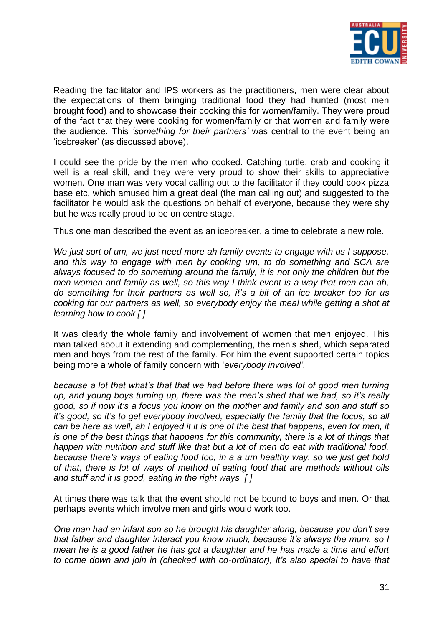

Reading the facilitator and IPS workers as the practitioners, men were clear about the expectations of them bringing traditional food they had hunted (most men brought food) and to showcase their cooking this for women/family. They were proud of the fact that they were cooking for women/family or that women and family were the audience. This *"something for their partners"* was central to the event being an "icebreaker" (as discussed above).

I could see the pride by the men who cooked. Catching turtle, crab and cooking it well is a real skill, and they were very proud to show their skills to appreciative women. One man was very vocal calling out to the facilitator if they could cook pizza base etc, which amused him a great deal (the man calling out) and suggested to the facilitator he would ask the questions on behalf of everyone, because they were shy but he was really proud to be on centre stage.

Thus one man described the event as an icebreaker, a time to celebrate a new role.

*We just sort of um, we just need more ah family events to engage with us I suppose, and this way to engage with men by cooking um, to do something and SCA are always focused to do something around the family, it is not only the children but the men women and family as well, so this way I think event is a way that men can ah, do something for their partners as well so, it"s a bit of an ice breaker too for us cooking for our partners as well, so everybody enjoy the meal while getting a shot at learning how to cook [ ]*

It was clearly the whole family and involvement of women that men enjoyed. This man talked about it extending and complementing, the men's shed, which separated men and boys from the rest of the family. For him the event supported certain topics being more a whole of family concern with "*everybody involved"*.

*because a lot that what"s that that we had before there was lot of good men turning up, and young boys turning up, there was the men"s shed that we had, so it"s really good, so if now it"s a focus you know on the mother and family and son and stuff so it"s good, so it"s to get everybody involved, especially the family that the focus, so all can be here as well, ah I enjoyed it it is one of the best that happens, even for men, it is one of the best things that happens for this community, there is a lot of things that happen with nutrition and stuff like that but a lot of men do eat with traditional food, because there"s ways of eating food too, in a a um healthy way, so we just get hold of that, there is lot of ways of method of eating food that are methods without oils and stuff and it is good, eating in the right ways [ ]*

At times there was talk that the event should not be bound to boys and men. Or that perhaps events which involve men and girls would work too.

*One man had an infant son so he brought his daughter along, because you don"t see that father and daughter interact you know much, because it's always the mum, so I mean he is a good father he has got a daughter and he has made a time and effort to come down and join in (checked with co-ordinator), it"s also special to have that*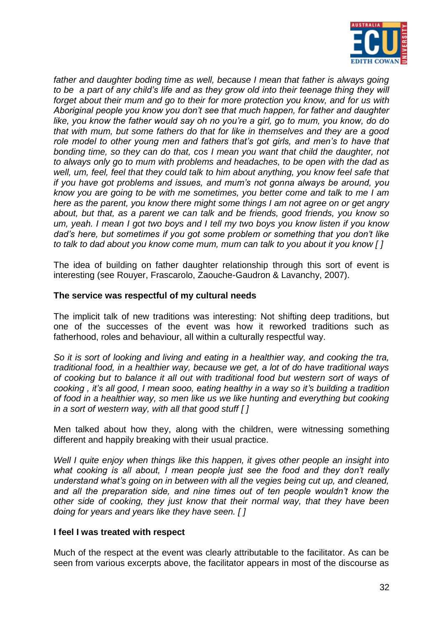

father and daughter boding time as well, because I mean that father is always going *to be a part of any child"s life and as they grow old into their teenage thing they will forget about their mum and go to their for more protection you know, and for us with Aboriginal people you know you don"t see that much happen, for father and daughter like, you know the father would say oh no you"re a girl, go to mum, you know, do do that with mum, but some fathers do that for like in themselves and they are a good role model to other young men and fathers that"s got girls, and men"s to have that bonding time, so they can do that, cos I mean you want that child the daughter, not to always only go to mum with problems and headaches, to be open with the dad as well, um, feel, feel that they could talk to him about anything, you know feel safe that if you have got problems and issues, and mum"s not gonna always be around, you know you are going to be with me sometimes, you better come and talk to me I am here as the parent, you know there might some things I am not agree on or get angry about, but that, as a parent we can talk and be friends, good friends, you know so um, yeah. I mean I got two boys and I tell my two boys you know listen if you know dad"s here, but sometimes if you got some problem or something that you don"t like to talk to dad about you know come mum, mum can talk to you about it you know [ ]*

The idea of building on father daughter relationship through this sort of event is interesting (see Rouyer, Frascarolo, Zaouche-Gaudron & Lavanchy, 2007).

# **The service was respectful of my cultural needs**

The implicit talk of new traditions was interesting: Not shifting deep traditions, but one of the successes of the event was how it reworked traditions such as fatherhood, roles and behaviour, all within a culturally respectful way.

*So it is sort of looking and living and eating in a healthier way, and cooking the tra, traditional food, in a healthier way, because we get, a lot of do have traditional ways of cooking but to balance it all out with traditional food but western sort of ways of cooking , it"s all good, I mean sooo, eating healthy in a way so it"s building a tradition of food in a healthier way, so men like us we like hunting and everything but cooking in a sort of western way, with all that good stuff [ ]*

Men talked about how they, along with the children, were witnessing something different and happily breaking with their usual practice.

*Well I quite enjoy when things like this happen, it gives other people an insight into what cooking is all about, I mean people just see the food and they don"t really understand what"s going on in between with all the vegies being cut up, and cleaned, and all the preparation side, and nine times out of ten people wouldn"t know the other side of cooking, they just know that their normal way, that they have been doing for years and years like they have seen. [ ]*

# **I feel I was treated with respect**

Much of the respect at the event was clearly attributable to the facilitator. As can be seen from various excerpts above, the facilitator appears in most of the discourse as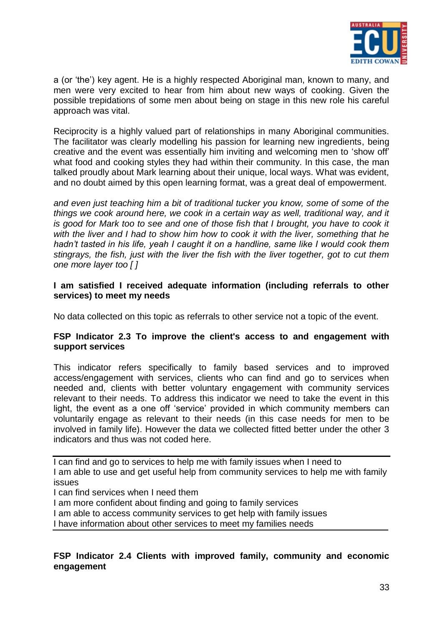

a (or 'the') key agent. He is a highly respected Aboriginal man, known to many, and men were very excited to hear from him about new ways of cooking. Given the possible trepidations of some men about being on stage in this new role his careful approach was vital.

Reciprocity is a highly valued part of relationships in many Aboriginal communities. The facilitator was clearly modelling his passion for learning new ingredients, being creative and the event was essentially him inviting and welcoming men to "show off" what food and cooking styles they had within their community. In this case, the man talked proudly about Mark learning about their unique, local ways. What was evident, and no doubt aimed by this open learning format, was a great deal of empowerment.

*and even just teaching him a bit of traditional tucker you know, some of some of the things we cook around here, we cook in a certain way as well, traditional way, and it is good for Mark too to see and one of those fish that I brought, you have to cook it with the liver and I had to show him how to cook it with the liver, something that he hadn"t tasted in his life, yeah I caught it on a handline, same like I would cook them stingrays, the fish, just with the liver the fish with the liver together, got to cut them one more layer too [ ]*

# **I am satisfied I received adequate information (including referrals to other services) to meet my needs**

No data collected on this topic as referrals to other service not a topic of the event.

# **FSP Indicator 2.3 To improve the client's access to and engagement with support services**

This indicator refers specifically to family based services and to improved access/engagement with services, clients who can find and go to services when needed and, clients with better voluntary engagement with community services relevant to their needs. To address this indicator we need to take the event in this light, the event as a one off "service" provided in which community members can voluntarily engage as relevant to their needs (in this case needs for men to be involved in family life). However the data we collected fitted better under the other 3 indicators and thus was not coded here.

I can find and go to services to help me with family issues when I need to I am able to use and get useful help from community services to help me with family issues

I can find services when I need them

I am more confident about finding and going to family services

I am able to access community services to get help with family issues

I have information about other services to meet my families needs

# **FSP Indicator 2.4 Clients with improved family, community and economic engagement**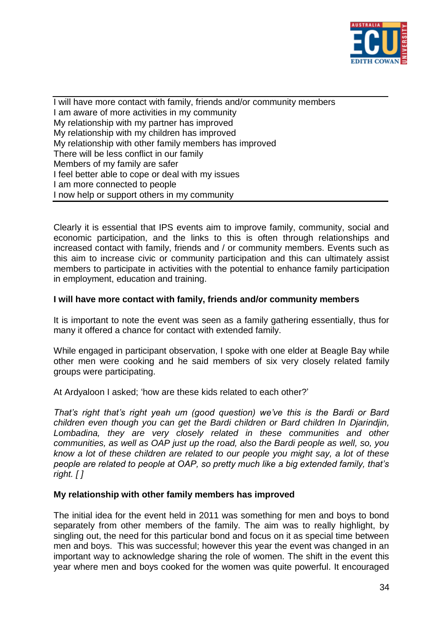

I will have more contact with family, friends and/or community members I am aware of more activities in my community My relationship with my partner has improved My relationship with my children has improved My relationship with other family members has improved There will be less conflict in our family Members of my family are safer I feel better able to cope or deal with my issues I am more connected to people I now help or support others in my community

Clearly it is essential that IPS events aim to improve family, community, social and economic participation, and the links to this is often through relationships and increased contact with family, friends and / or community members. Events such as this aim to increase civic or community participation and this can ultimately assist members to participate in activities with the potential to enhance family participation in employment, education and training.

# **I will have more contact with family, friends and/or community members**

It is important to note the event was seen as a family gathering essentially, thus for many it offered a chance for contact with extended family.

While engaged in participant observation, I spoke with one elder at Beagle Bay while other men were cooking and he said members of six very closely related family groups were participating.

At Ardyaloon I asked; "how are these kids related to each other?"

*That"s right that"s right yeah um (good question) we"ve this is the Bardi or Bard children even though you can get the Bardi children or Bard children In Djarindjin, Lombadina, they are very closely related in these communities and other communities, as well as OAP just up the road, also the Bardi people as well, so, you know a lot of these children are related to our people you might say, a lot of these people are related to people at OAP, so pretty much like a big extended family, that"s right. [ ]*

# **My relationship with other family members has improved**

The initial idea for the event held in 2011 was something for men and boys to bond separately from other members of the family. The aim was to really highlight, by singling out, the need for this particular bond and focus on it as special time between men and boys. This was successful; however this year the event was changed in an important way to acknowledge sharing the role of women. The shift in the event this year where men and boys cooked for the women was quite powerful. It encouraged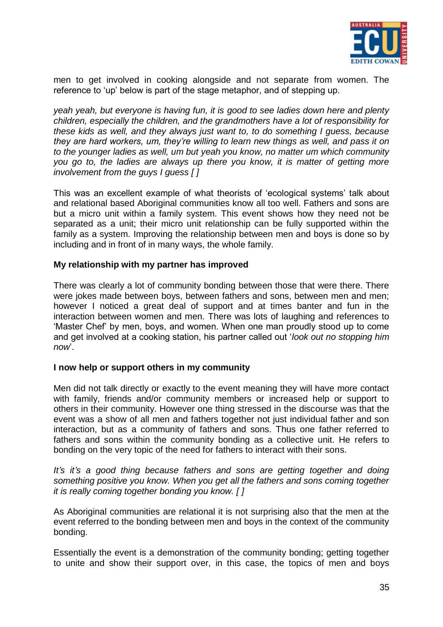

men to get involved in cooking alongside and not separate from women. The reference to 'up' below is part of the stage metaphor, and of stepping up.

*yeah yeah, but everyone is having fun, it is good to see ladies down here and plenty children, especially the children, and the grandmothers have a lot of responsibility for these kids as well, and they always just want to, to do something I guess, because they are hard workers, um, they"re willing to learn new things as well, and pass it on to the younger ladies as well, um but yeah you know, no matter um which community you go to, the ladies are always up there you know, it is matter of getting more involvement from the guys I guess [ ]*

This was an excellent example of what theorists of "ecological systems" talk about and relational based Aboriginal communities know all too well. Fathers and sons are but a micro unit within a family system. This event shows how they need not be separated as a unit; their micro unit relationship can be fully supported within the family as a system. Improving the relationship between men and boys is done so by including and in front of in many ways, the whole family.

# **My relationship with my partner has improved**

There was clearly a lot of community bonding between those that were there. There were jokes made between boys, between fathers and sons, between men and men; however I noticed a great deal of support and at times banter and fun in the interaction between women and men. There was lots of laughing and references to "Master Chef" by men, boys, and women. When one man proudly stood up to come and get involved at a cooking station, his partner called out "*look out no stopping him*  now.

# **I now help or support others in my community**

Men did not talk directly or exactly to the event meaning they will have more contact with family, friends and/or community members or increased help or support to others in their community. However one thing stressed in the discourse was that the event was a show of all men and fathers together not just individual father and son interaction, but as a community of fathers and sons. Thus one father referred to fathers and sons within the community bonding as a collective unit. He refers to bonding on the very topic of the need for fathers to interact with their sons.

*It's it's a good thing because fathers and sons are getting together and doing something positive you know. When you get all the fathers and sons coming together it is really coming together bonding you know. [ ]*

As Aboriginal communities are relational it is not surprising also that the men at the event referred to the bonding between men and boys in the context of the community bonding.

Essentially the event is a demonstration of the community bonding; getting together to unite and show their support over, in this case, the topics of men and boys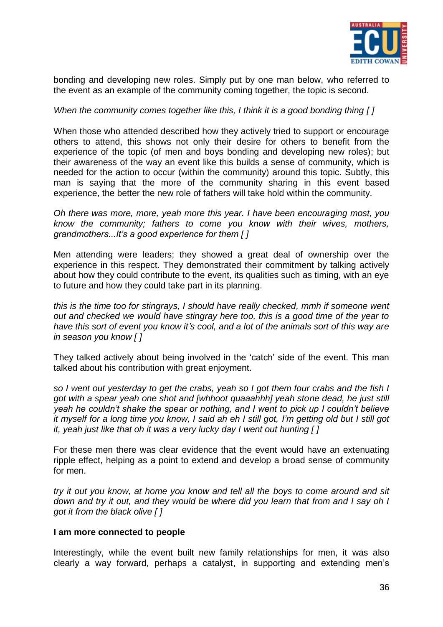

bonding and developing new roles. Simply put by one man below, who referred to the event as an example of the community coming together, the topic is second.

#### *When the community comes together like this, I think it is a good bonding thing [ ]*

When those who attended described how they actively tried to support or encourage others to attend, this shows not only their desire for others to benefit from the experience of the topic (of men and boys bonding and developing new roles); but their awareness of the way an event like this builds a sense of community, which is needed for the action to occur (within the community) around this topic. Subtly, this man is saying that the more of the community sharing in this event based experience, the better the new role of fathers will take hold within the community.

*Oh there was more, more, yeah more this year. I have been encouraging most, you know the community; fathers to come you know with their wives, mothers, grandmothers...It"s a good experience for them [ ]*

Men attending were leaders; they showed a great deal of ownership over the experience in this respect. They demonstrated their commitment by talking actively about how they could contribute to the event, its qualities such as timing, with an eye to future and how they could take part in its planning.

*this is the time too for stingrays, I should have really checked, mmh if someone went out and checked we would have stingray here too, this is a good time of the year to have this sort of event you know it"s cool, and a lot of the animals sort of this way are in season you know [ ]*

They talked actively about being involved in the "catch" side of the event. This man talked about his contribution with great enjoyment.

*so I went out yesterday to get the crabs, yeah so I got them four crabs and the fish I got with a spear yeah one shot and [whhoot quaaahhh] yeah stone dead, he just still yeah he couldn"t shake the spear or nothing, and I went to pick up I couldn"t believe it myself for a long time you know, I said ah eh I still got, I"m getting old but I still got it, yeah just like that oh it was a very lucky day I went out hunting [ ]*

For these men there was clear evidence that the event would have an extenuating ripple effect, helping as a point to extend and develop a broad sense of community for men.

*try it out you know, at home you know and tell all the boys to come around and sit down and try it out, and they would be where did you learn that from and I say oh I got it from the black olive [ ]*

#### **I am more connected to people**

Interestingly, while the event built new family relationships for men, it was also clearly a way forward, perhaps a catalyst, in supporting and extending men"s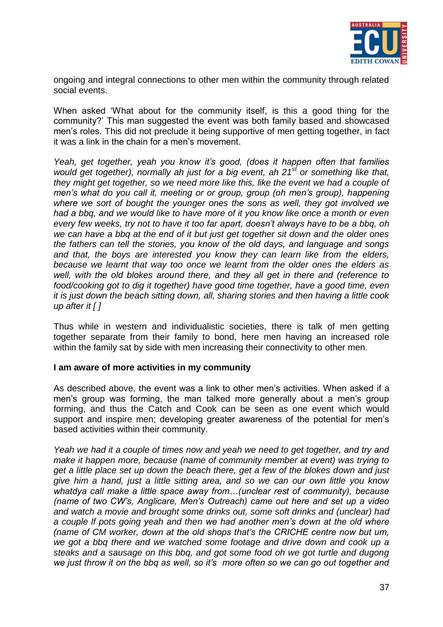

ongoing and integral connections to other men within the community through related social events.

When asked "What about for the community itself, is this a good thing for the community?" This man suggested the event was both family based and showcased men"s roles. This did not preclude it being supportive of men getting together, in fact it was a link in the chain for a men"s movement.

*Yeah, get together, yeah you know it"s good, (does it happen often that families would get together), normally ah just for a big event, ah 21st or something like that, they might get together, so we need more like this, like the event we had a couple of men"s what do you call it, meeting or or group, group (oh men"s group), happening where we sort of bought the younger ones the sons as well, they got involved we had a bbq, and we would like to have more of it you know like once a month or even every few weeks, try not to have it too far apart, doesn"t always have to be a bbq, oh we can have a bbq at the end of it but just get together sit down and the older ones the fathers can tell the stories, you know of the old days, and language and songs and that, the boys are interested you know they can learn like from the elders, because we learnt that way too once we learnt from the older ones the elders as well, with the old blokes around there, and they all get in there and (reference to food/cooking got to dig it together) have good time together, have a good time, even it is just down the beach sitting down, all, sharing stories and then having a little cook up after it [ ]*

Thus while in western and individualistic societies, there is talk of men getting together separate from their family to bond, here men having an increased role within the family sat by side with men increasing their connectivity to other men.

#### **I am aware of more activities in my community**

As described above, the event was a link to other men"s activities. When asked if a men's group was forming, the man talked more generally about a men's group forming, and thus the Catch and Cook can be seen as one event which would support and inspire men; developing greater awareness of the potential for men's based activities within their community.

*Yeah we had it a couple of times now and yeah we need to get together, and try and make it happen more, because (name of community member at event) was trying to get a little place set up down the beach there, get a few of the blokes down and just give him a hand, just a little sitting area, and so we can our own little you know whatdya call make a little space away from…(unclear rest of community), because (name of two CW"s, Anglicare, Men"s Outreach) came out here and set up a video and watch a movie and brought some drinks out, some soft drinks and (unclear) had a couple lf pots going yeah and then we had another men"s down at the old where (name of CM worker, down at the old shops that"s the CRICHE centre now but um, we got a bbq there and we watched some footage and drive down and cook up a steaks and a sausage on this bbq, and got some food oh we got turtle and dugong we just throw it on the bbq as well, so it"s more often so we can go out together and*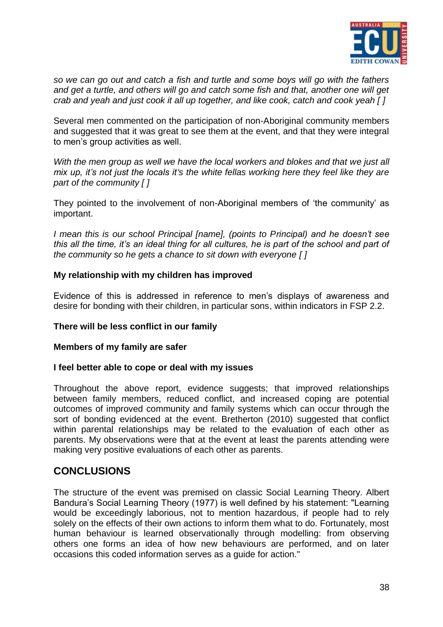

*so we can go out and catch a fish and turtle and some boys will go with the fathers and get a turtle, and others will go and catch some fish and that, another one will get crab and yeah and just cook it all up together, and like cook, catch and cook yeah [ ]*

Several men commented on the participation of non-Aboriginal community members and suggested that it was great to see them at the event, and that they were integral to men"s group activities as well.

With the men group as well we have the local workers and blokes and that we just all *mix up, it"s not just the locals it"s the white fellas working here they feel like they are part of the community [ ]*

They pointed to the involvement of non-Aboriginal members of "the community" as important.

*I mean this is our school Principal [name], (points to Principal) and he doesn"t see this all the time, it"s an ideal thing for all cultures, he is part of the school and part of the community so he gets a chance to sit down with everyone [ ]*

# **My relationship with my children has improved**

Evidence of this is addressed in reference to men"s displays of awareness and desire for bonding with their children, in particular sons, within indicators in FSP 2.2.

# **There will be less conflict in our family**

# **Members of my family are safer**

# **I feel better able to cope or deal with my issues**

Throughout the above report, evidence suggests; that improved relationships between family members, reduced conflict, and increased coping are potential outcomes of improved community and family systems which can occur through the sort of bonding evidenced at the event. Bretherton (2010) suggested that conflict within parental relationships may be related to the evaluation of each other as parents. My observations were that at the event at least the parents attending were making very positive evaluations of each other as parents.

# **CONCLUSIONS**

The structure of the event was premised on classic Social Learning Theory. Albert Bandura"s Social Learning Theory (1977) is well defined by his statement: "Learning would be exceedingly laborious, not to mention hazardous, if people had to rely solely on the effects of their own actions to inform them what to do. Fortunately, most human behaviour is learned observationally through modelling: from observing others one forms an idea of how new behaviours are performed, and on later occasions this coded information serves as a guide for action."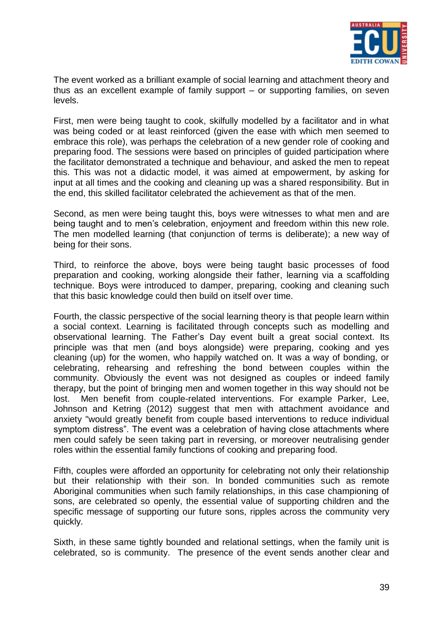

The event worked as a brilliant example of social learning and attachment theory and thus as an excellent example of family support – or supporting families, on seven levels.

First, men were being taught to cook, skilfully modelled by a facilitator and in what was being coded or at least reinforced (given the ease with which men seemed to embrace this role), was perhaps the celebration of a new gender role of cooking and preparing food. The sessions were based on principles of guided participation where the facilitator demonstrated a technique and behaviour, and asked the men to repeat this. This was not a didactic model, it was aimed at empowerment, by asking for input at all times and the cooking and cleaning up was a shared responsibility. But in the end, this skilled facilitator celebrated the achievement as that of the men.

Second, as men were being taught this, boys were witnesses to what men and are being taught and to men"s celebration, enjoyment and freedom within this new role. The men modelled learning (that conjunction of terms is deliberate); a new way of being for their sons.

Third, to reinforce the above, boys were being taught basic processes of food preparation and cooking, working alongside their father, learning via a scaffolding technique. Boys were introduced to damper, preparing, cooking and cleaning such that this basic knowledge could then build on itself over time.

Fourth, the classic perspective of the social learning theory is that people learn within a social context. Learning is facilitated through concepts such as modelling and observational learning. The Father"s Day event built a great social context. Its principle was that men (and boys alongside) were preparing, cooking and yes cleaning (up) for the women, who happily watched on. It was a way of bonding, or celebrating, rehearsing and refreshing the bond between couples within the community. Obviously the event was not designed as couples or indeed family therapy, but the point of bringing men and women together in this way should not be lost. Men benefit from couple-related interventions. For example Parker, Lee, Johnson and Ketring (2012) suggest that men with attachment avoidance and anxiety "would greatly benefit from couple based interventions to reduce individual symptom distress". The event was a celebration of having close attachments where men could safely be seen taking part in reversing, or moreover neutralising gender roles within the essential family functions of cooking and preparing food.

Fifth, couples were afforded an opportunity for celebrating not only their relationship but their relationship with their son. In bonded communities such as remote Aboriginal communities when such family relationships, in this case championing of sons, are celebrated so openly, the essential value of supporting children and the specific message of supporting our future sons, ripples across the community very quickly.

Sixth, in these same tightly bounded and relational settings, when the family unit is celebrated, so is community. The presence of the event sends another clear and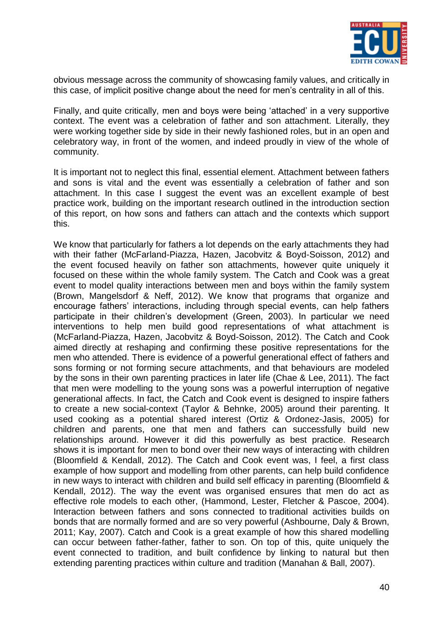

obvious message across the community of showcasing family values, and critically in this case, of implicit positive change about the need for men"s centrality in all of this.

Finally, and quite critically, men and boys were being "attached" in a very supportive context. The event was a celebration of father and son attachment. Literally, they were working together side by side in their newly fashioned roles, but in an open and celebratory way, in front of the women, and indeed proudly in view of the whole of community.

It is important not to neglect this final, essential element. Attachment between fathers and sons is vital and the event was essentially a celebration of father and son attachment. In this case I suggest the event was an excellent example of best practice work, building on the important research outlined in the introduction section of this report, on how sons and fathers can attach and the contexts which support this.

We know that particularly for fathers a lot depends on the early attachments they had with their father (McFarland-Piazza, Hazen, Jacobvitz & Boyd-Soisson, 2012) and the event focused heavily on father son attachments, however quite uniquely it focused on these within the whole family system. The Catch and Cook was a great event to model quality interactions between men and boys within the family system (Brown, Mangelsdorf & Neff, 2012). We know that programs that organize and encourage fathers" interactions, including through special events, can help fathers participate in their children's development (Green, 2003). In particular we need interventions to help men build good representations of what attachment is (McFarland-Piazza, Hazen, Jacobvitz & Boyd-Soisson, 2012). The Catch and Cook aimed directly at reshaping and confirming these positive representations for the men who attended. There is evidence of a powerful generational effect of fathers and sons forming or not forming secure attachments, and that behaviours are modeled by the sons in their own parenting practices in later life (Chae & Lee, 2011). The fact that men were modelling to the young sons was a powerful interruption of negative generational affects. In fact, the Catch and Cook event is designed to inspire fathers to create a new social-context (Taylor & Behnke, 2005) around their parenting. It used cooking as a potential shared interest (Ortiz & Ordonez-Jasis, 2005) for children and parents, one that men and fathers can successfully build new relationships around. However it did this powerfully as best practice. Research shows it is important for men to bond over their new ways of interacting with children (Bloomfield & Kendall, 2012). The Catch and Cook event was, I feel, a first class example of how support and modelling from other parents, can help build confidence in new ways to interact with children and build self efficacy in parenting (Bloomfield & Kendall, 2012). The way the event was organised ensures that men do act as effective role models to each other, (Hammond, Lester, Fletcher & Pascoe, 2004). Interaction between fathers and sons connected to traditional activities builds on bonds that are normally formed and are so very powerful (Ashbourne, Daly & Brown, 2011; Kay, 2007). Catch and Cook is a great example of how this shared modelling can occur between father-father, father to son. On top of this, quite uniquely the event connected to tradition, and built confidence by linking to natural but then extending parenting practices within culture and tradition (Manahan & Ball, 2007).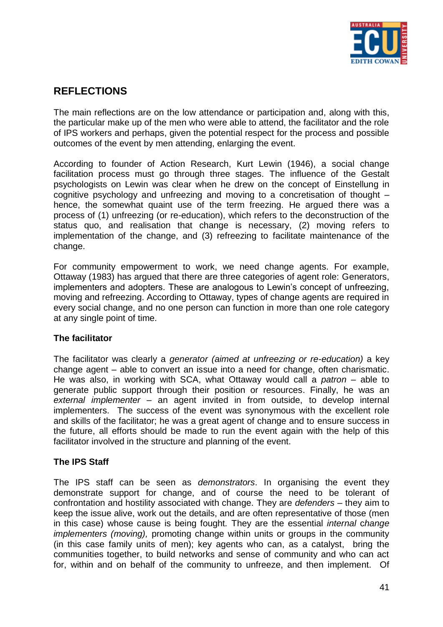

# **REFLECTIONS**

The main reflections are on the low attendance or participation and, along with this, the particular make up of the men who were able to attend, the facilitator and the role of IPS workers and perhaps, given the potential respect for the process and possible outcomes of the event by men attending, enlarging the event.

According to founder of Action Research, Kurt Lewin (1946), a social change facilitation process must go through three stages. The influence of the Gestalt psychologists on Lewin was clear when he drew on the concept of Einstellung in cognitive psychology and unfreezing and moving to a concretisation of thought – hence, the somewhat quaint use of the term freezing. He argued there was a process of (1) unfreezing (or re-education), which refers to the deconstruction of the status quo, and realisation that change is necessary, (2) moving refers to implementation of the change, and (3) refreezing to facilitate maintenance of the change.

For community empowerment to work, we need change agents. For example, Ottaway (1983) has argued that there are three categories of agent role: Generators, implementers and adopters. These are analogous to Lewin"s concept of unfreezing, moving and refreezing. According to Ottaway, types of change agents are required in every social change, and no one person can function in more than one role category at any single point of time.

# **The facilitator**

The facilitator was clearly a *generator (aimed at unfreezing or re-education)* a key change agent – able to convert an issue into a need for change, often charismatic. He was also, in working with SCA, what Ottaway would call a *patron* – able to generate public support through their position or resources. Finally, he was an *external implementer* – an agent invited in from outside, to develop internal implementers. The success of the event was synonymous with the excellent role and skills of the facilitator; he was a great agent of change and to ensure success in the future, all efforts should be made to run the event again with the help of this facilitator involved in the structure and planning of the event.

# **The IPS Staff**

The IPS staff can be seen as *demonstrators*. In organising the event they demonstrate support for change, and of course the need to be tolerant of confrontation and hostility associated with change. They are *defenders* – they aim to keep the issue alive, work out the details, and are often representative of those (men in this case) whose cause is being fought*.* They are the essential *internal* c*hange implementers (moving),* promoting change within units or groups in the community (in this case family units of men); key agents who can, as a catalyst, bring the communities together, to build networks and sense of community and who can act for, within and on behalf of the community to unfreeze, and then implement. Of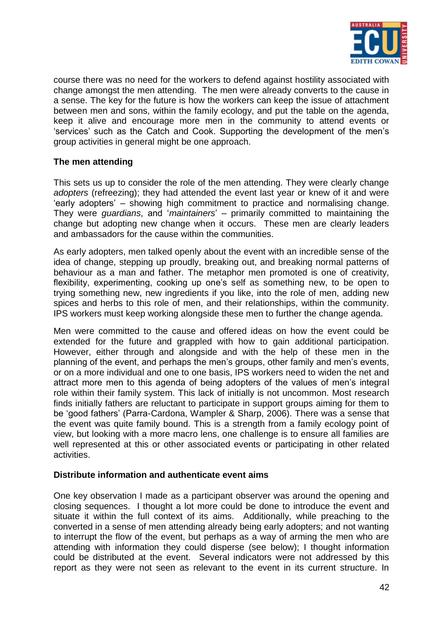

course there was no need for the workers to defend against hostility associated with change amongst the men attending. The men were already converts to the cause in a sense. The key for the future is how the workers can keep the issue of attachment between men and sons, within the family ecology, and put the table on the agenda, keep it alive and encourage more men in the community to attend events or "services" such as the Catch and Cook. Supporting the development of the men"s group activities in general might be one approach.

# **The men attending**

This sets us up to consider the role of the men attending. They were clearly change *adopters* (refreezing); they had attended the event last year or knew of it and were "early adopters" – showing high commitment to practice and normalising change. They were *guardians*, and "*maintainers*" – primarily committed to maintaining the change but adopting new change when it occurs. These men are clearly leaders and ambassadors for the cause within the communities.

As early adopters, men talked openly about the event with an incredible sense of the idea of change, stepping up proudly, breaking out, and breaking normal patterns of behaviour as a man and father. The metaphor men promoted is one of creativity, flexibility, experimenting, cooking up one's self as something new, to be open to trying something new, new ingredients if you like, into the role of men, adding new spices and herbs to this role of men, and their relationships, within the community. IPS workers must keep working alongside these men to further the change agenda.

Men were committed to the cause and offered ideas on how the event could be extended for the future and grappled with how to gain additional participation. However, either through and alongside and with the help of these men in the planning of the event, and perhaps the men"s groups, other family and men"s events, or on a more individual and one to one basis, IPS workers need to widen the net and attract more men to this agenda of being adopters of the values of men"s integral role within their family system. This lack of initially is not uncommon. Most research finds initially fathers are reluctant to participate in support groups aiming for them to be "good fathers" (Parra-Cardona, Wampler & Sharp, 2006). There was a sense that the event was quite family bound. This is a strength from a family ecology point of view, but looking with a more macro lens, one challenge is to ensure all families are well represented at this or other associated events or participating in other related activities.

# **Distribute information and authenticate event aims**

One key observation I made as a participant observer was around the opening and closing sequences. I thought a lot more could be done to introduce the event and situate it within the full context of its aims. Additionally, while preaching to the converted in a sense of men attending already being early adopters; and not wanting to interrupt the flow of the event, but perhaps as a way of arming the men who are attending with information they could disperse (see below); I thought information could be distributed at the event. Several indicators were not addressed by this report as they were not seen as relevant to the event in its current structure. In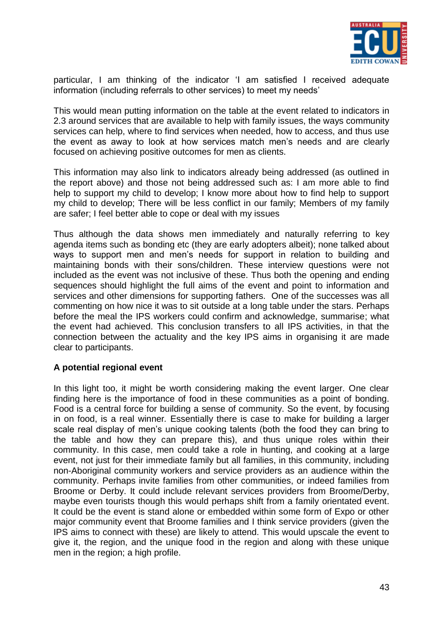

particular, I am thinking of the indicator "I am satisfied I received adequate information (including referrals to other services) to meet my needs"

This would mean putting information on the table at the event related to indicators in 2.3 around services that are available to help with family issues, the ways community services can help, where to find services when needed, how to access, and thus use the event as away to look at how services match men's needs and are clearly focused on achieving positive outcomes for men as clients.

This information may also link to indicators already being addressed (as outlined in the report above) and those not being addressed such as: I am more able to find help to support my child to develop; I know more about how to find help to support my child to develop; There will be less conflict in our family; Members of my family are safer; I feel better able to cope or deal with my issues

Thus although the data shows men immediately and naturally referring to key agenda items such as bonding etc (they are early adopters albeit); none talked about ways to support men and men"s needs for support in relation to building and maintaining bonds with their sons/children. These interview questions were not included as the event was not inclusive of these. Thus both the opening and ending sequences should highlight the full aims of the event and point to information and services and other dimensions for supporting fathers. One of the successes was all commenting on how nice it was to sit outside at a long table under the stars. Perhaps before the meal the IPS workers could confirm and acknowledge, summarise; what the event had achieved. This conclusion transfers to all IPS activities, in that the connection between the actuality and the key IPS aims in organising it are made clear to participants.

# **A potential regional event**

In this light too, it might be worth considering making the event larger. One clear finding here is the importance of food in these communities as a point of bonding. Food is a central force for building a sense of community. So the event, by focusing in on food, is a real winner*.* Essentially there is case to make for building a larger scale real display of men's unique cooking talents (both the food they can bring to the table and how they can prepare this), and thus unique roles within their community. In this case, men could take a role in hunting, and cooking at a large event, not just for their immediate family but all families, in this community, including non-Aboriginal community workers and service providers as an audience within the community. Perhaps invite families from other communities, or indeed families from Broome or Derby. It could include relevant services providers from Broome/Derby, maybe even tourists though this would perhaps shift from a family orientated event. It could be the event is stand alone or embedded within some form of Expo or other major community event that Broome families and I think service providers (given the IPS aims to connect with these) are likely to attend. This would upscale the event to give it, the region, and the unique food in the region and along with these unique men in the region; a high profile.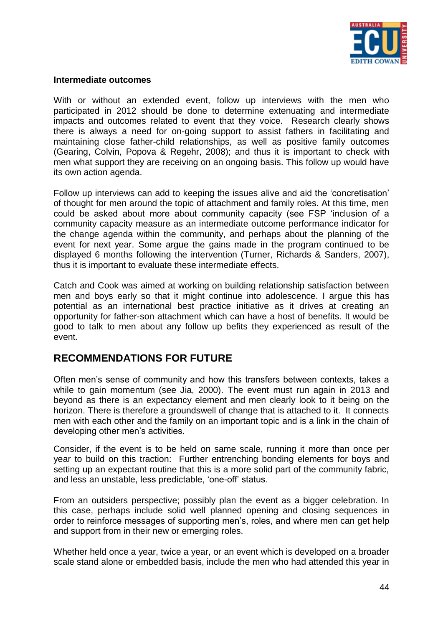

#### **Intermediate outcomes**

With or without an extended event, follow up interviews with the men who participated in 2012 should be done to determine extenuating and intermediate impacts and outcomes related to event that they voice. Research clearly shows there is always a need for on-going support to assist fathers in facilitating and maintaining close father-child relationships, as well as positive family outcomes (Gearing, Colvin, Popova & Regehr, 2008); and thus it is important to check with men what support they are receiving on an ongoing basis. This follow up would have its own action agenda.

Follow up interviews can add to keeping the issues alive and aid the "concretisation" of thought for men around the topic of attachment and family roles. At this time, men could be asked about more about community capacity (see FSP "inclusion of a community capacity measure as an intermediate outcome performance indicator for the change agenda within the community, and perhaps about the planning of the event for next year. Some argue the gains made in the program continued to be displayed 6 months following the intervention (Turner, Richards & Sanders, 2007), thus it is important to evaluate these intermediate effects.

Catch and Cook was aimed at working on building relationship satisfaction between men and boys early so that it might continue into adolescence. I argue this has potential as an international best practice initiative as it drives at creating an opportunity for father-son attachment which can have a host of benefits. It would be good to talk to men about any follow up befits they experienced as result of the event.

# **RECOMMENDATIONS FOR FUTURE**

Often men"s sense of community and how this transfers between contexts, takes a while to gain momentum (see Jia, 2000). The event must run again in 2013 and beyond as there is an expectancy element and men clearly look to it being on the horizon. There is therefore a groundswell of change that is attached to it. It connects men with each other and the family on an important topic and is a link in the chain of developing other men's activities.

Consider, if the event is to be held on same scale, running it more than once per year to build on this traction: Further entrenching bonding elements for boys and setting up an expectant routine that this is a more solid part of the community fabric, and less an unstable, less predictable, "one-off" status.

From an outsiders perspective; possibly plan the event as a bigger celebration. In this case, perhaps include solid well planned opening and closing sequences in order to reinforce messages of supporting men"s, roles, and where men can get help and support from in their new or emerging roles.

Whether held once a year, twice a year, or an event which is developed on a broader scale stand alone or embedded basis, include the men who had attended this year in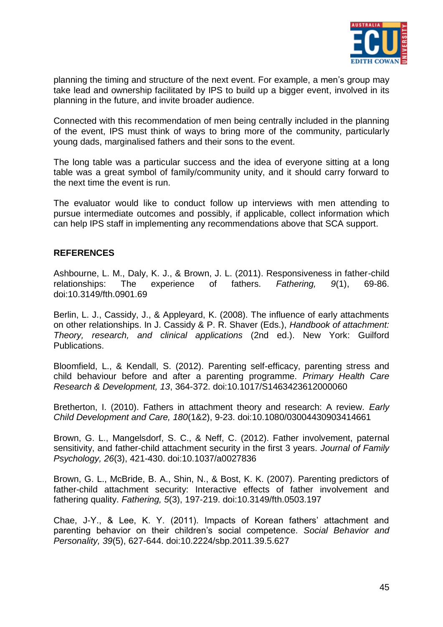

planning the timing and structure of the next event. For example, a men"s group may take lead and ownership facilitated by IPS to build up a bigger event, involved in its planning in the future, and invite broader audience.

Connected with this recommendation of men being centrally included in the planning of the event, IPS must think of ways to bring more of the community, particularly young dads, marginalised fathers and their sons to the event.

The long table was a particular success and the idea of everyone sitting at a long table was a great symbol of family/community unity, and it should carry forward to the next time the event is run.

The evaluator would like to conduct follow up interviews with men attending to pursue intermediate outcomes and possibly, if applicable, collect information which can help IPS staff in implementing any recommendations above that SCA support.

# **REFERENCES**

Ashbourne, L. M., Daly, K. J., & Brown, J. L. (2011). Responsiveness in father-child relationships: The experience of fathers. *Fathering, 9*(1), 69-86. doi:10.3149/fth.0901.69

Berlin, L. J., Cassidy, J., & Appleyard, K. (2008). The influence of early attachments on other relationships. In J. Cassidy & P. R. Shaver (Eds.), *Handbook of attachment: Theory, research, and clinical applications* (2nd ed.). New York: Guilford Publications.

Bloomfield, L., & Kendall, S. (2012). Parenting self-efficacy, parenting stress and child behaviour before and after a parenting programme. *Primary Health Care Research & Development, 13*, 364-372. doi:10.1017/S1463423612000060

Bretherton, I. (2010). Fathers in attachment theory and research: A review. *Early Child Development and Care, 180*(1&2), 9-23. doi:10.1080/03004430903414661

Brown, G. L., Mangelsdorf, S. C., & Neff, C. (2012). Father involvement, paternal sensitivity, and father-child attachment security in the first 3 years. *Journal of Family Psychology, 26*(3), 421-430. doi:10.1037/a0027836

Brown, G. L., McBride, B. A., Shin, N., & Bost, K. K. (2007). Parenting predictors of father-child attachment security: Interactive effects of father involvement and fathering quality. *Fathering, 5*(3), 197-219. doi:10.3149/fth.0503.197

Chae, J-Y., & Lee, K. Y. (2011). Impacts of Korean fathers' attachment and parenting behavior on their children"s social competence. *Social Behavior and Personality, 39*(5), 627-644. doi:10.2224/sbp.2011.39.5.627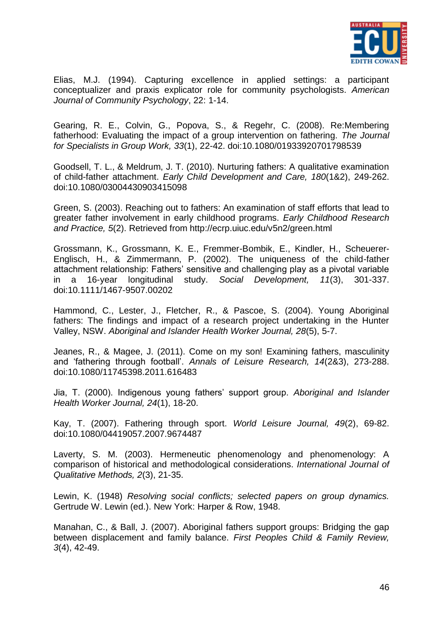

Elias, M.J. (1994). Capturing excellence in applied settings: a participant conceptualizer and praxis explicator role for community psychologists. *American Journal of Community Psychology*, 22: 1-14.

Gearing, R. E., Colvin, G., Popova, S., & Regehr, C. (2008). Re:Membering fatherhood: Evaluating the impact of a group intervention on fathering. *The Journal for Specialists in Group Work, 33*(1), 22-42. doi:10.1080/01933920701798539

Goodsell, T. L., & Meldrum, J. T. (2010). Nurturing fathers: A qualitative examination of child-father attachment. *Early Child Development and Care, 180*(1&2), 249-262. doi:10.1080/03004430903415098

Green, S. (2003). Reaching out to fathers: An examination of staff efforts that lead to greater father involvement in early childhood programs. *Early Childhood Research and Practice, 5*(2). Retrieved from http://ecrp.uiuc.edu/v5n2/green.html

Grossmann, K., Grossmann, K. E., Fremmer-Bombik, E., Kindler, H., Scheuerer-Englisch, H., & Zimmermann, P. (2002). The uniqueness of the child-father attachment relationship: Fathers" sensitive and challenging play as a pivotal variable in a 16-year longitudinal study. *Social Development, 11*(3), 301-337. doi:10.1111/1467-9507.00202

Hammond, C., Lester, J., Fletcher, R., & Pascoe, S. (2004). Young Aboriginal fathers: The findings and impact of a research project undertaking in the Hunter Valley, NSW. *Aboriginal and Islander Health Worker Journal, 28*(5), 5-7.

Jeanes, R., & Magee, J. (2011). Come on my son! Examining fathers, masculinity and "fathering through football". *Annals of Leisure Research, 14*(2&3), 273-288. doi:10.1080/11745398.2011.616483

Jia, T. (2000). Indigenous young fathers" support group. *Aboriginal and Islander Health Worker Journal, 24*(1), 18-20.

Kay, T. (2007). Fathering through sport. *World Leisure Journal, 49*(2), 69-82. doi:10.1080/04419057.2007.9674487

Laverty, S. M. (2003). Hermeneutic phenomenology and phenomenology: A comparison of historical and methodological considerations. *International Journal of Qualitative Methods, 2*(3), 21-35.

Lewin, K. (1948) *Resolving social conflicts; selected papers on group dynamics.* Gertrude W. Lewin (ed.). New York: Harper & Row, 1948.

Manahan, C., & Ball, J. (2007). Aboriginal fathers support groups: Bridging the gap between displacement and family balance. *First Peoples Child & Family Review, 3*(4), 42-49.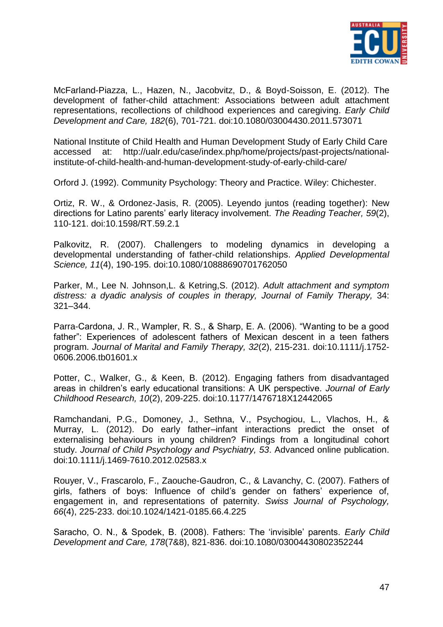

McFarland-Piazza, L., Hazen, N., Jacobvitz, D., & Boyd-Soisson, E. (2012). The development of father-child attachment: Associations between adult attachment representations, recollections of childhood experiences and caregiving. *Early Child Development and Care, 182*(6), 701-721. doi:10.1080/03004430.2011.573071

National Institute of Child Health and Human Development Study of Early Child Care accessed at: [http://ualr.edu/case/index.php/home/projects/past-projects/national](http://ualr.edu/case/index.php/home/projects/past-projects/national-institute-of-child-health-and-human-development-study-of-early-child-care/)[institute-of-child-health-and-human-development-study-of-early-child-care/](http://ualr.edu/case/index.php/home/projects/past-projects/national-institute-of-child-health-and-human-development-study-of-early-child-care/)

Orford J. (1992). Community Psychology: Theory and Practice. Wiley: Chichester.

Ortiz, R. W., & Ordonez-Jasis, R. (2005). Leyendo juntos (reading together): New directions for Latino parents" early literacy involvement. *The Reading Teacher, 59*(2), 110-121. doi:10.1598/RT.59.2.1

Palkovitz, R. (2007). Challengers to modeling dynamics in developing a developmental understanding of father-child relationships. *Applied Developmental Science, 11*(4), 190-195. doi:10.1080/10888690701762050

Parker, M., Lee N. Johnson,L. & Ketring,S. (2012). *Adult attachment and symptom distress: a dyadic analysis of couples in therapy, Journal of Family Therapy,* 34: 321–344.

Parra-Cardona, J. R., Wampler, R. S., & Sharp, E. A. (2006). "Wanting to be a good father": Experiences of adolescent fathers of Mexican descent in a teen fathers program. *Journal of Marital and Family Therapy, 32*(2), 215-231. doi:10.1111/j.1752- 0606.2006.tb01601.x

Potter, C., Walker, G., & Keen, B. (2012). Engaging fathers from disadvantaged areas in children"s early educational transitions: A UK perspective. *Journal of Early Childhood Research, 10*(2), 209-225. doi:10.1177/1476718X12442065

Ramchandani, P.G., Domoney, J., Sethna, V., Psychogiou, L., Vlachos, H., & Murray, L. (2012). Do early father–infant interactions predict the onset of externalising behaviours in young children? Findings from a longitudinal cohort study. *Journal of Child Psychology and Psychiatry, 53*. Advanced online publication. doi:10.1111/j.1469-7610.2012.02583.x

Rouyer, V., Frascarolo, F., Zaouche-Gaudron, C., & Lavanchy, C. (2007). Fathers of girls, fathers of boys: Influence of child"s gender on fathers" experience of, engagement in, and representations of paternity. *Swiss Journal of Psychology, 66*(4), 225-233. doi:10.1024/1421-0185.66.4.225

Saracho, O. N., & Spodek, B. (2008). Fathers: The "invisible" parents. *Early Child Development and Care, 178*(7&8), 821-836. doi:10.1080/03004430802352244